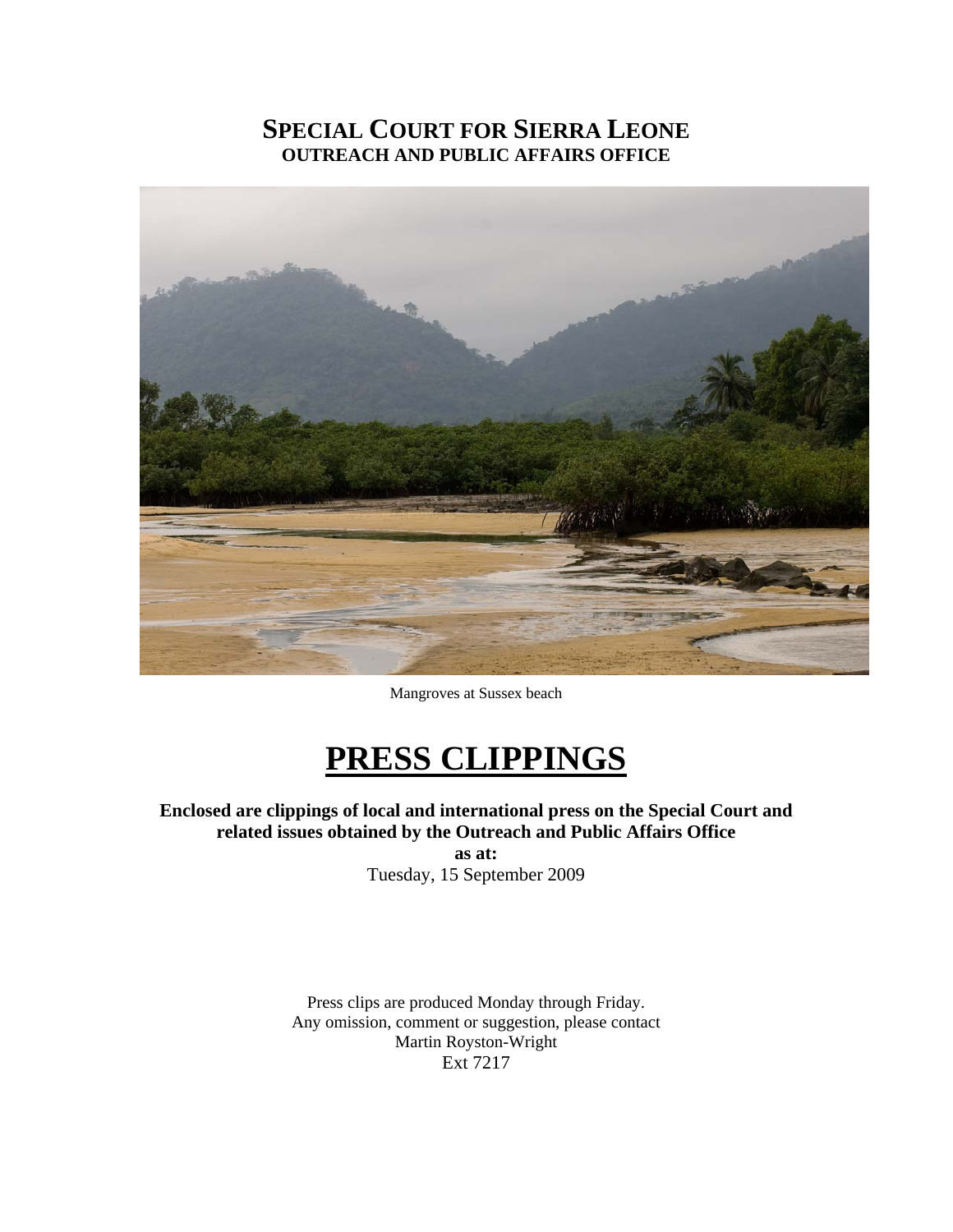# **SPECIAL COURT FOR SIERRA LEONE OUTREACH AND PUBLIC AFFAIRS OFFICE**



Mangroves at Sussex beach

# **PRESS CLIPPINGS**

**Enclosed are clippings of local and international press on the Special Court and related issues obtained by the Outreach and Public Affairs Office** 

**as at:**  Tuesday, 15 September 2009

Press clips are produced Monday through Friday. Any omission, comment or suggestion, please contact Martin Royston-Wright Ext 7217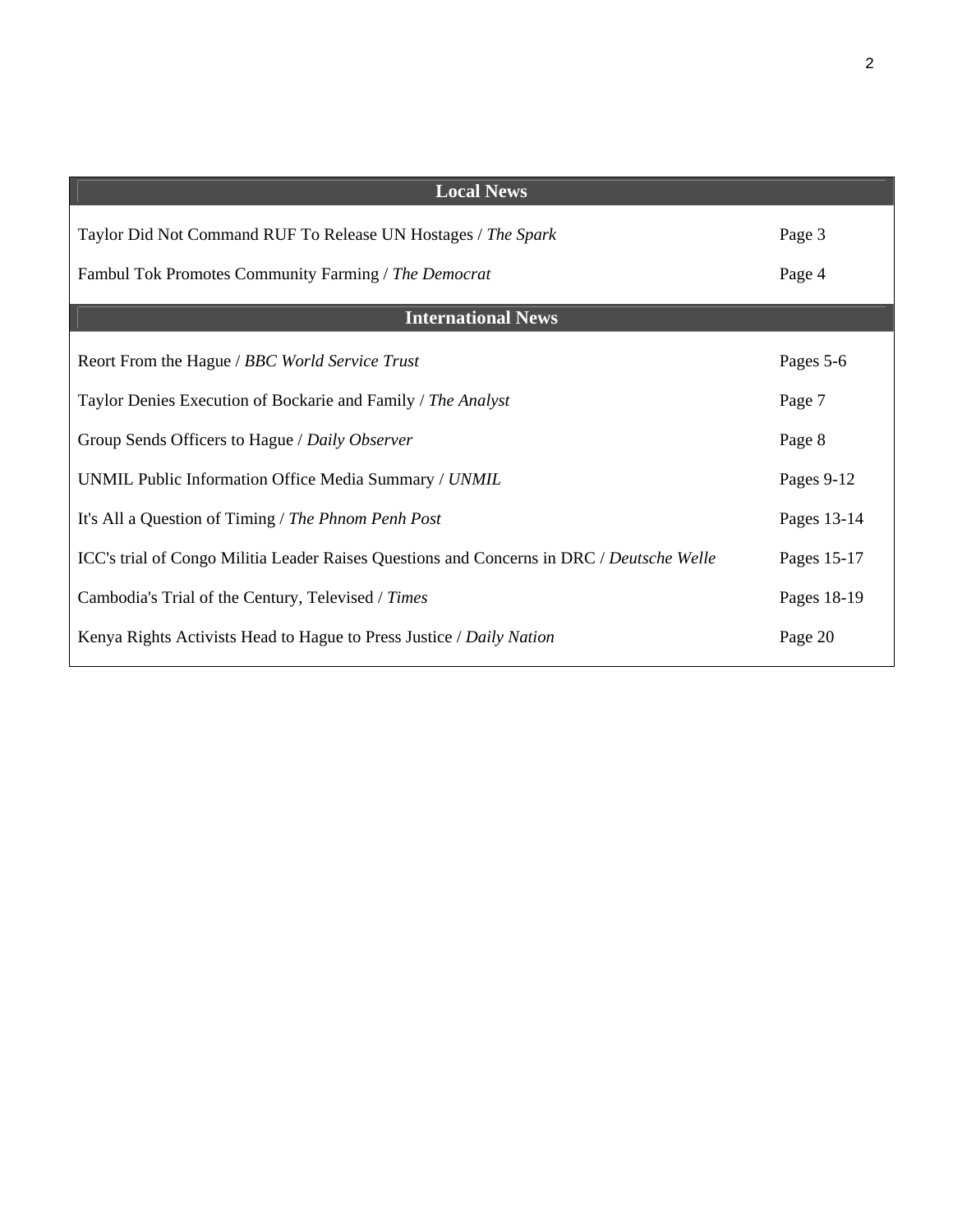| <b>Local News</b>                                                                         |             |
|-------------------------------------------------------------------------------------------|-------------|
| Taylor Did Not Command RUF To Release UN Hostages / The Spark                             | Page 3      |
| Fambul Tok Promotes Community Farming / The Democrat                                      | Page 4      |
| <b>International News</b>                                                                 |             |
| Reort From the Hague / BBC World Service Trust                                            | Pages 5-6   |
| Taylor Denies Execution of Bockarie and Family / The Analyst                              | Page 7      |
| Group Sends Officers to Hague / Daily Observer                                            | Page 8      |
| UNMIL Public Information Office Media Summary / UNMIL                                     | Pages 9-12  |
| It's All a Question of Timing / The Phnom Penh Post                                       | Pages 13-14 |
| ICC's trial of Congo Militia Leader Raises Questions and Concerns in DRC / Deutsche Welle | Pages 15-17 |
| Cambodia's Trial of the Century, Televised / Times                                        | Pages 18-19 |
| Kenya Rights Activists Head to Hague to Press Justice / Daily Nation                      | Page 20     |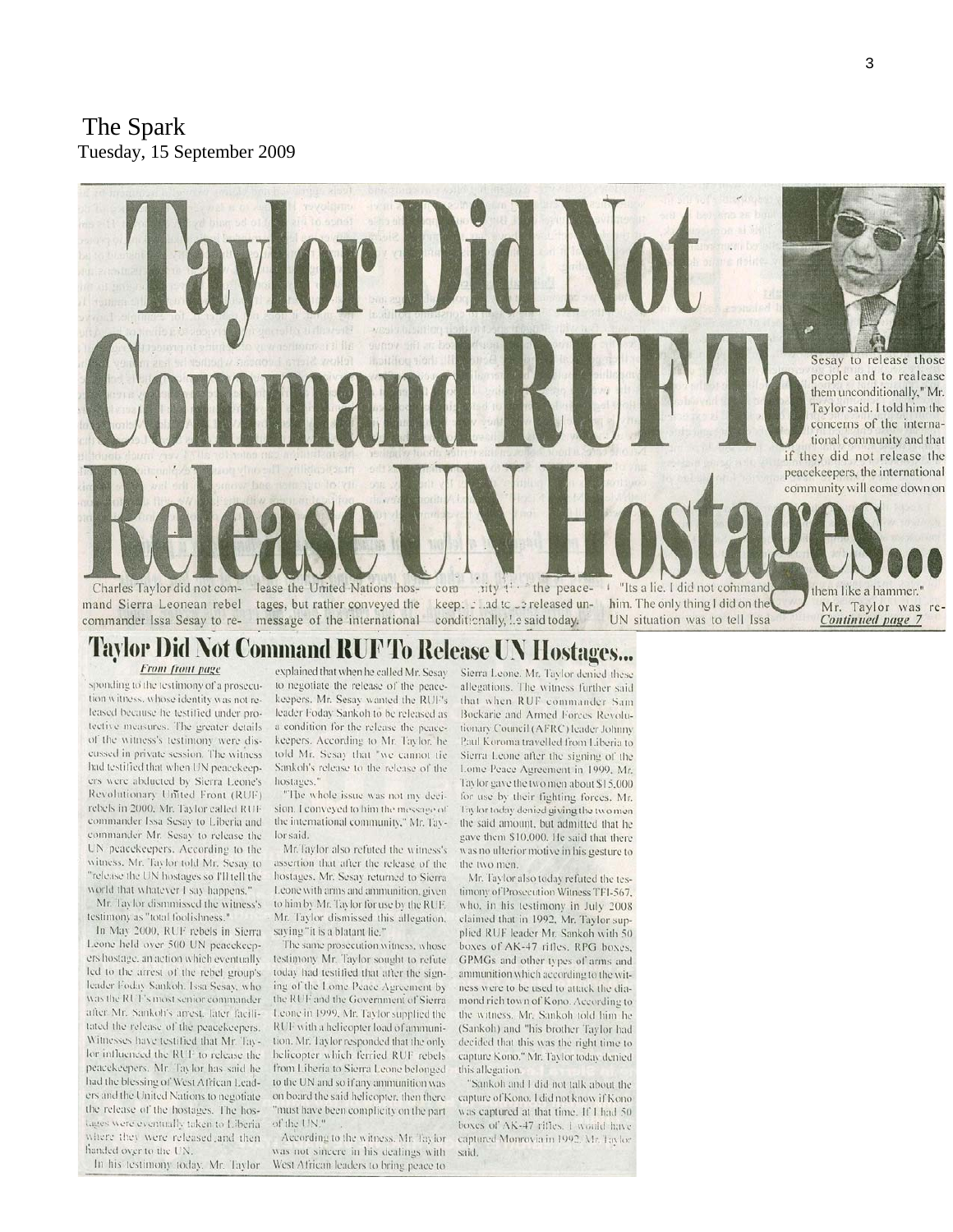The Spark Tuesday, 15 September 2009



mand Sierra Leonean rebel commander Issa Sesay to re-

tages, but rather conveyed the message of the international

conditionally, I.e said today.

him. The only thing I did on the UN situation was to tell Issa

Mr. Taylor was re-Continued page 7

# **Taylor Did Not Command RUF To Release UN Hostages...**

#### From front page

sponding to the testimony of a prosecution witness, whose identity was not released because he testified under protective measures. The greater details of the witness's testimony were discussed in private session. The witness had testified that when UN peacekeepers were abducted by Sierra Leone's Revolutionary United Front (RUF) rebels in 2000. Mr. Taylor called RUF commander Issa Sesay to Liberia and commander Mr. Sesay to release the UN peacekeepers. According to the witness. Mr. Taylor told Mr. Sesay to "release the UN hostages so I'll tell the world that whatever I say happens." Mr. Taylor dismmissed the witness's

testimony as "total foolishness." In May 2000, RUF rebels in Sierra

Leone held over 500 UN peacekeepers hostage, an action which eventually led to the arrest of the rebel group's leader Foday Sankoh, Issa Sesay, who was the RUI's most senior commander. after Mr. Sankoh's arrest, later facilitated the release of the peacekeepers. Witnesses have testified that Mr. Tayfor influenced the RUF to release the peacekeepers. Mr. Taylor has said he had the blessing of West African Leaders and the United Nations to negotiate the release of the hostages. The hostages were eventually taken to Liberia where they were released and then handed over to the UN.

In his testimony today, Mr. Taylor

explained that when he called Mr. Sesay to negotiate the release of the peacekeepers. Mr. Sesay wanted the RUF's leader Foday Sankoh to be released as a condition for the release the peacekeepers. According to Mr. Taylor, he told Mr. Sesay that "we cannot tie Sankoh's release to the release of the hostages.

"The whole issue was not my decision. I conveyed to him the message of the international community," Mr. Taylor said.

Mr.Taylor also refuted the witness's assertion that after the release of the hostages, Mr. Sesay returned to Sierra Leone with arms and ammunition, given to him by Mr. Taylor for use by the RUF. Mr. Taylor dismissed this allegation, saying "it is a blatant lie."

The same prosecution witness, whose testimony Mr. Taylor sought to refute today had testified that after the signing of the Lome Peace Agreement by the RUF and the Government of Sierra Leone in 1999, Mr. Taylor supplied the RUF with a helicopter load of ammunition. Mr. Taylor responded that the only helicopter which ferried RUF rebels from Liberia to Sierra Leone belonged to the UN and so if any ammunition was on board the said helicopter, then there "must have been complicity on the part of the UN."

According to the witness, Mr. Taylor was not sincere in his dealings with West African leaders to bring peace to

Sierra Leone. Mr. Taylor denied these allegations. The witness further said that when RUF commander Sam Bockarie and Armed Forces Revolutionary Council (AFRC) leader Johnny Paul Koroma travelled from Liberia to Sierra Leone after the signing of the Lome Peace Agreement in 1999, Mr. Taylor gave the two men about \$15,000 for use by their fighting forces. Mr. Taylor today denied giving the two men the said amount, but admitted that he gave them \$10,000. He said that there was no ulterior motive in his gesture to the two men.

Mr. Taylor also today refuted the testimony of Prosecution Witness TFI-567. who, in his testimony in July 2008 claimed that in 1992, Mr. Taylor supplied RUF leader Mr. Sankoh with 50 boxes of AK-47 rifles. RPG boxes, GPMGs and other types of arms and ammunition which according to the witness were to be used to attack the diamond rich town of Kono. According to the witness. Mr. Sankoh told him he (Sankoh) and "his brother Taylor had decided that this was the right time to capture Kono." Mr. Taylor today denied this allegation.

"Sankoh and I did not talk about the capture of Kono. I did not know if Kono was captured at that time. If I had 50 boxes of AK-47 rifles, I would have captured Monrovia in 1992. Mr. Taylor said.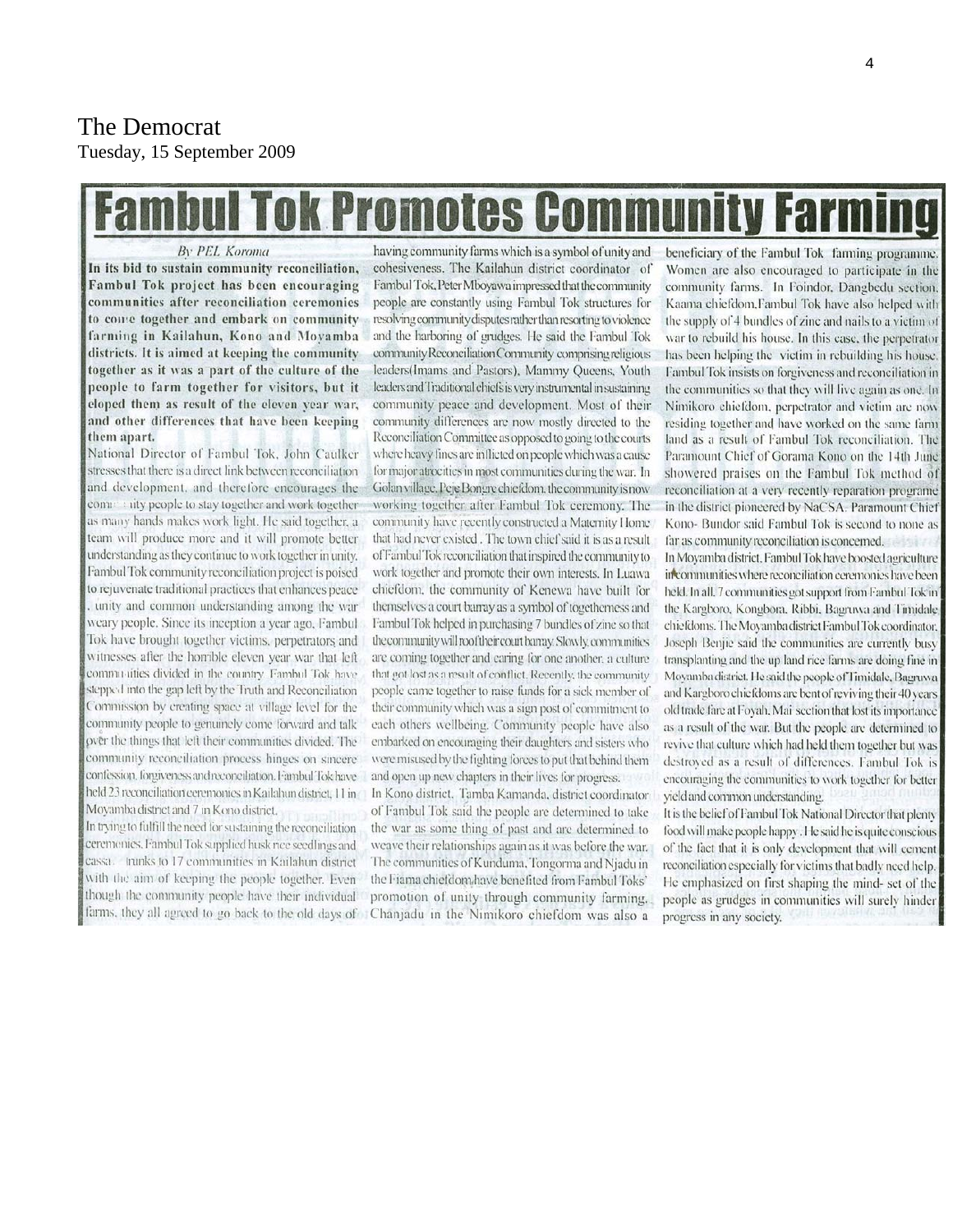## The Democrat Tuesday, 15 September 2009

# **k Promotes Communit** ty Fari

**By PEL Koroma** 

In its bid to sustain community reconciliation, Fambul Tok project has been encouraging communities after reconciliation ceremonies to come together and embark on community farming in Kailahun, Kono and Moyamba districts. It is aimed at keeping the community together as it was a part of the culture of the people to farm together for visitors, but it cloped them as result of the eleven year war, and other differences that have been keeping them apart.

National Director of Fambul Tok, John Caulker stresses that there is a direct link between reconciliation and development, and therefore encourages the comming ity people to stay together and work together as many hands makes work light. He said together, a team will produce more and it will promote better understanding as they continue to work together in unity. Fambul Tok community reconciliation project is poised to rejuvenate traditional practices that enhances peace , unity and common understanding among the war weary people. Since its inception a year ago, Fambul Tok have brought together victims, perpetrators and witnesses after the horrible eleven year war that left communities divided in the country. Fambul Tok have stepped into the gap left by the Truth and Reconciliation Commission by creating space at village level for the community people to genuinely come forward and talk over the things that left their communities divided. The community reconciliation process hinges on sincere confession, forgiveness and reconciliation. Fambul Tok have held 23 reconciliation ceremonies in Kailahun district. 11 in Moyamba district and 7 in Kono district.

In trying to fulfill the need for sustaining the reconciliation ceremonies. Fambul Tok supplied husk rice seedlings and cassa. trunks to 17 communities in Kailahun district with the aim of keeping the people together. Even though the community people have their individual farms, they all agreed to go back to the old days of

having community farms which is a symbol of unity and cohesiveness. The Kailahun district coordinator of Fambul Tok, Peter Mboyawa impressed that the community people are constantly using Fambul Tok structures for resolving community disputes rather than resorting to violence and the harboring of grudges. He said the Fambul Tok community Reconciliation Community comprising religious leaders(Imams and Pastors), Mammy Queens, Youth leaders and Traditional chiefs is very instrumental in sustaining community peace and development. Most of their community differences are now mostly directed to the Reconciliation Committee as opposed to going to the courts where heavy fines are inflicted on people which was a cause for major atrocities in most communities during the war. In Golan village. Peje Bongre chiefdom, the community is now working together after Fambul Tok ceremony. The community have recently constructed a Matemity Home that had never existed. The town chief said it is as a result of Fambul Tok reconciliation that inspired the community to work together and promote their own interests. In Luawa chiefdom, the community of Kenewa have built for themselves a court barray as a symbol of togethemess and Fambul Tok helped in purchasing 7 bundles of zine so that the community will roof their court barray. Slowly, communities are coming together and caring for one another, a culture that got lost as a result of conflict. Recently, the community people came together to raise funds for a sick member of their community which was a sign post of commitment to each others wellbeing. Community people have also embarked on encouraging their daughters and sisters who were misused by the fighting forces to put that behind them and open up new chapters in their lives for progress.

In Kono district, Tamba Kamanda, district coordinator of Fambul Tok said the people are determined to take the war as some thing of past and are determined to weave their relationships again as it was before the war. The communities of Kunduma, Tongorma and Njadu in the Fiama chiefdom have benefited from Fambul Toks' promotion of unity through community farming. Chanjadu in the Nimikoro chiefdom was also a

beneficiary of the Fambul Tok farming programme. Women are also encouraged to participate in the community farms. In Foindor, Dangbedu section, Kaama chiefdom, Fambul Tok have also helped with the supply of 4 bundles of zinc and nails to a victim of war to rebuild his house. In this case, the perpetrator has been helping the victim in rebuilding his house. Fambul Tok insists on forgiveness and reconciliation in the communities so that they will live again as one. In Nimikoro chiefdom, perpetrator and victim are now residing together and have worked on the same farm land as a result of Fambul Tok reconciliation. The Paramount Chief of Gorama Kono on the 14th June showered praises on the Fambul Tok method of reconciliation at a very recently reparation programe in the district pioneered by NaCSA. Paramount Chief Kono- Bundor said Fambul Tok is second to none as far as community reconciliation is concerned. In Moyamba district, Fambul Tok have boosted agriculture

incommunities where reconciliation ceremonies have been held. In all, 7 communities got support from Fambul Tok in the Kargboro, Kongbora, Ribbi, Bagruwa and Timidale, chiefdoms. The Moyamba district Fambul Tok coordinator, Joseph Benjie said the communities are currently busy transplanting and the up land rice farms are doing fine in Moyamba district. He said the people of Timidale, Bagruwa and Kargboro chiefdoms are bent of reviving their 40 years old trade fare at Foyah, Mai section that lost its importance as a result of the war. But the people are determined to revive that culture which had held them together but was destroyed as a result of differences. Fambul Tok is encouraging the communities to work together for better yield and common understanding.

It is the belief of Fambul Tok National Director that plenty food will make people happy. He said he is quite conscious of the fact that it is only development that will cement reconciliation especially for victims that badly need help. He emphasized on first shaping the mind- set of the people as grudges in communities will surely hinder progress in any society.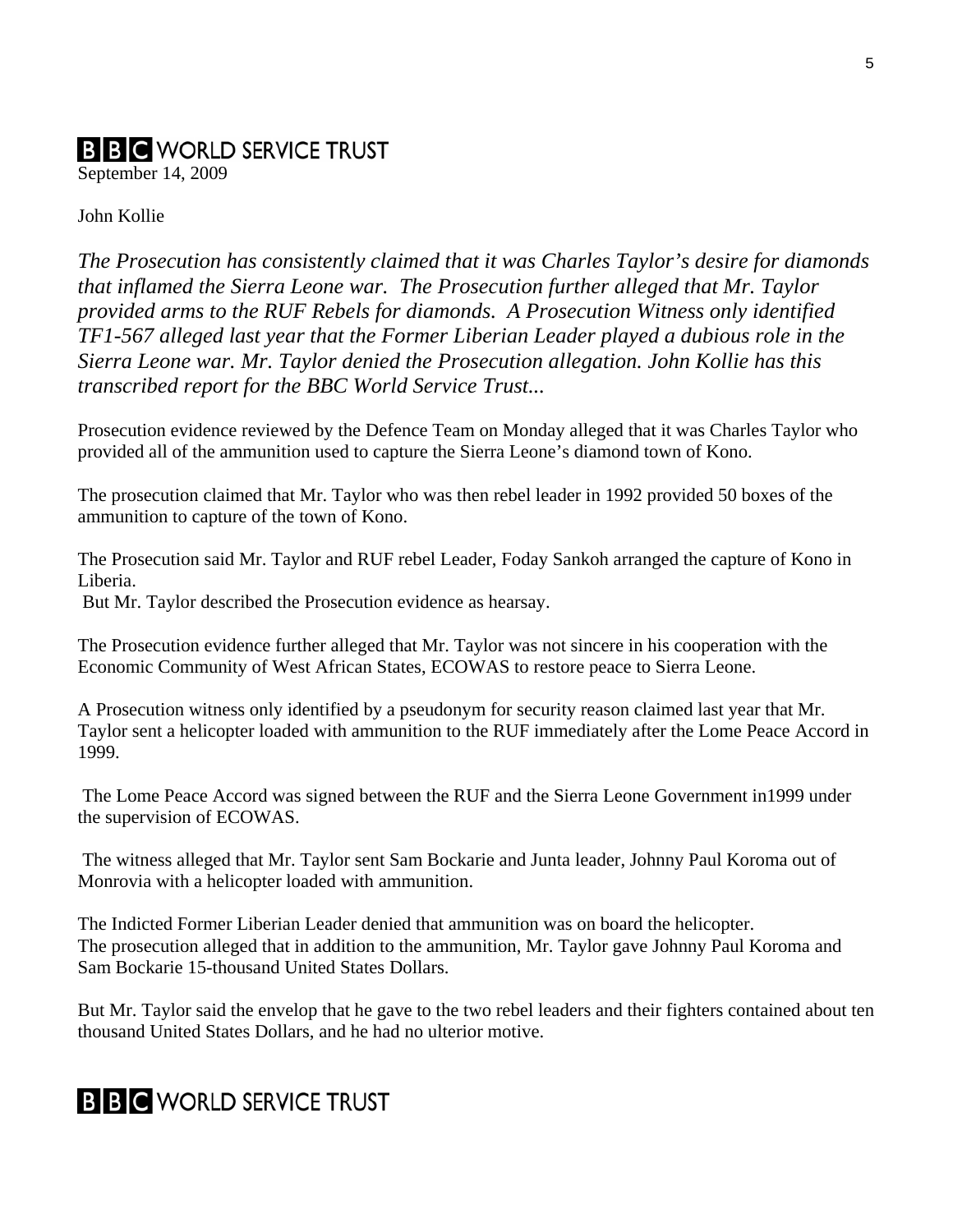# **B B C** WORLD SERVICE TRUST

September 14, 2009

John Kollie

*The Prosecution has consistently claimed that it was Charles Taylor's desire for diamonds that inflamed the Sierra Leone war. The Prosecution further alleged that Mr. Taylor provided arms to the RUF Rebels for diamonds. A Prosecution Witness only identified TF1-567 alleged last year that the Former Liberian Leader played a dubious role in the Sierra Leone war. Mr. Taylor denied the Prosecution allegation. John Kollie has this transcribed report for the BBC World Service Trust...* 

Prosecution evidence reviewed by the Defence Team on Monday alleged that it was Charles Taylor who provided all of the ammunition used to capture the Sierra Leone's diamond town of Kono.

The prosecution claimed that Mr. Taylor who was then rebel leader in 1992 provided 50 boxes of the ammunition to capture of the town of Kono.

The Prosecution said Mr. Taylor and RUF rebel Leader, Foday Sankoh arranged the capture of Kono in Liberia.

But Mr. Taylor described the Prosecution evidence as hearsay.

The Prosecution evidence further alleged that Mr. Taylor was not sincere in his cooperation with the Economic Community of West African States, ECOWAS to restore peace to Sierra Leone.

A Prosecution witness only identified by a pseudonym for security reason claimed last year that Mr. Taylor sent a helicopter loaded with ammunition to the RUF immediately after the Lome Peace Accord in 1999.

 The Lome Peace Accord was signed between the RUF and the Sierra Leone Government in1999 under the supervision of ECOWAS.

 The witness alleged that Mr. Taylor sent Sam Bockarie and Junta leader, Johnny Paul Koroma out of Monrovia with a helicopter loaded with ammunition.

The Indicted Former Liberian Leader denied that ammunition was on board the helicopter. The prosecution alleged that in addition to the ammunition, Mr. Taylor gave Johnny Paul Koroma and Sam Bockarie 15-thousand United States Dollars.

But Mr. Taylor said the envelop that he gave to the two rebel leaders and their fighters contained about ten thousand United States Dollars, and he had no ulterior motive.

# **B B C** WORLD SERVICE TRUST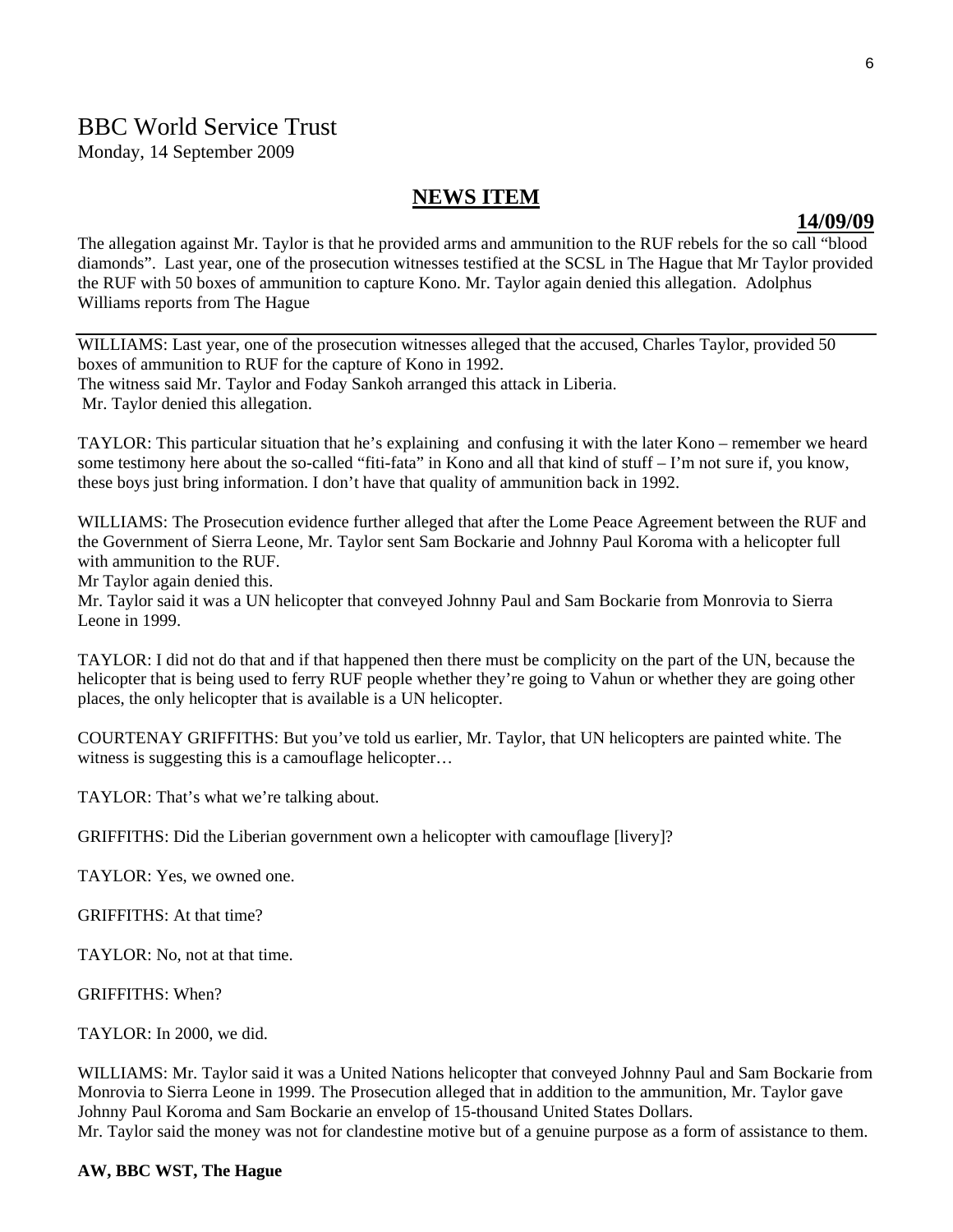# BBC World Service Trust

Monday, 14 September 2009

### **NEWS ITEM**

#### **14/09/09**

The allegation against Mr. Taylor is that he provided arms and ammunition to the RUF rebels for the so call "blood diamonds". Last year, one of the prosecution witnesses testified at the SCSL in The Hague that Mr Taylor provided the RUF with 50 boxes of ammunition to capture Kono. Mr. Taylor again denied this allegation. Adolphus Williams reports from The Hague

WILLIAMS: Last year, one of the prosecution witnesses alleged that the accused, Charles Taylor, provided 50 boxes of ammunition to RUF for the capture of Kono in 1992.

The witness said Mr. Taylor and Foday Sankoh arranged this attack in Liberia.

Mr. Taylor denied this allegation.

TAYLOR: This particular situation that he's explaining and confusing it with the later Kono – remember we heard some testimony here about the so-called "fiti-fata" in Kono and all that kind of stuff – I'm not sure if, you know, these boys just bring information. I don't have that quality of ammunition back in 1992.

WILLIAMS: The Prosecution evidence further alleged that after the Lome Peace Agreement between the RUF and the Government of Sierra Leone, Mr. Taylor sent Sam Bockarie and Johnny Paul Koroma with a helicopter full with ammunition to the RUF.

Mr Taylor again denied this.

Mr. Taylor said it was a UN helicopter that conveyed Johnny Paul and Sam Bockarie from Monrovia to Sierra Leone in 1999.

TAYLOR: I did not do that and if that happened then there must be complicity on the part of the UN, because the helicopter that is being used to ferry RUF people whether they're going to Vahun or whether they are going other places, the only helicopter that is available is a UN helicopter.

COURTENAY GRIFFITHS: But you've told us earlier, Mr. Taylor, that UN helicopters are painted white. The witness is suggesting this is a camouflage helicopter...

TAYLOR: That's what we're talking about.

GRIFFITHS: Did the Liberian government own a helicopter with camouflage [livery]?

TAYLOR: Yes, we owned one.

GRIFFITHS: At that time?

TAYLOR: No, not at that time.

GRIFFITHS: When?

TAYLOR: In 2000, we did.

WILLIAMS: Mr. Taylor said it was a United Nations helicopter that conveyed Johnny Paul and Sam Bockarie from Monrovia to Sierra Leone in 1999. The Prosecution alleged that in addition to the ammunition, Mr. Taylor gave Johnny Paul Koroma and Sam Bockarie an envelop of 15-thousand United States Dollars. Mr. Taylor said the money was not for clandestine motive but of a genuine purpose as a form of assistance to them.

#### **AW, BBC WST, The Hague**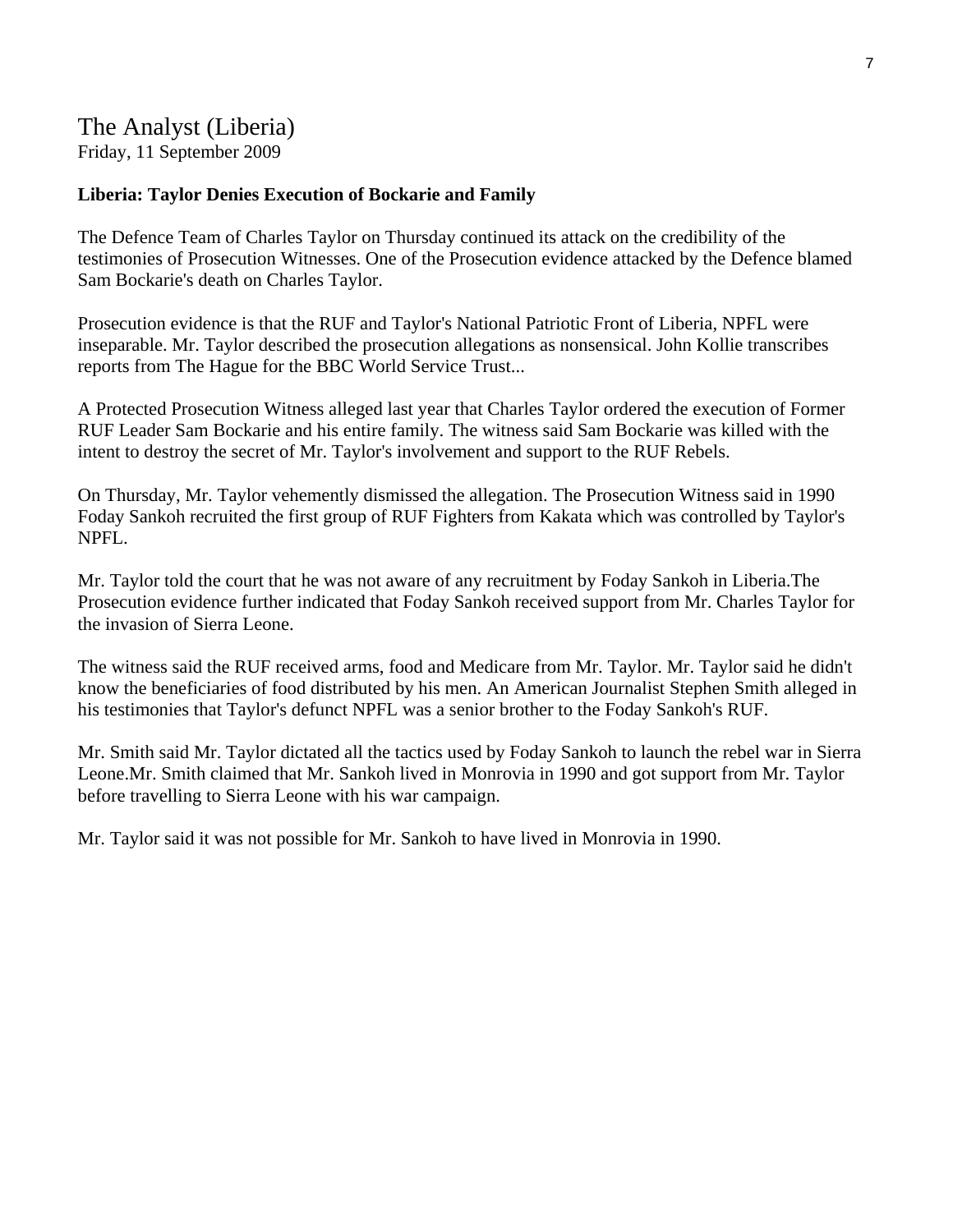# The Analyst (Liberia)

Friday, 11 September 2009

## **Liberia: Taylor Denies Execution of Bockarie and Family**

The Defence Team of Charles Taylor on Thursday continued its attack on the credibility of the testimonies of Prosecution Witnesses. One of the Prosecution evidence attacked by the Defence blamed Sam Bockarie's death on Charles Taylor.

Prosecution evidence is that the RUF and Taylor's National Patriotic Front of Liberia, NPFL were inseparable. Mr. Taylor described the prosecution allegations as nonsensical. John Kollie transcribes reports from The Hague for the BBC World Service Trust...

A Protected Prosecution Witness alleged last year that Charles Taylor ordered the execution of Former RUF Leader Sam Bockarie and his entire family. The witness said Sam Bockarie was killed with the intent to destroy the secret of Mr. Taylor's involvement and support to the RUF Rebels.

On Thursday, Mr. Taylor vehemently dismissed the allegation. The Prosecution Witness said in 1990 Foday Sankoh recruited the first group of RUF Fighters from Kakata which was controlled by Taylor's NPFL.

Mr. Taylor told the court that he was not aware of any recruitment by Foday Sankoh in Liberia.The Prosecution evidence further indicated that Foday Sankoh received support from Mr. Charles Taylor for the invasion of Sierra Leone.

The witness said the RUF received arms, food and Medicare from Mr. Taylor. Mr. Taylor said he didn't know the beneficiaries of food distributed by his men. An American Journalist Stephen Smith alleged in his testimonies that Taylor's defunct NPFL was a senior brother to the Foday Sankoh's RUF.

Mr. Smith said Mr. Taylor dictated all the tactics used by Foday Sankoh to launch the rebel war in Sierra Leone.Mr. Smith claimed that Mr. Sankoh lived in Monrovia in 1990 and got support from Mr. Taylor before travelling to Sierra Leone with his war campaign.

Mr. Taylor said it was not possible for Mr. Sankoh to have lived in Monrovia in 1990.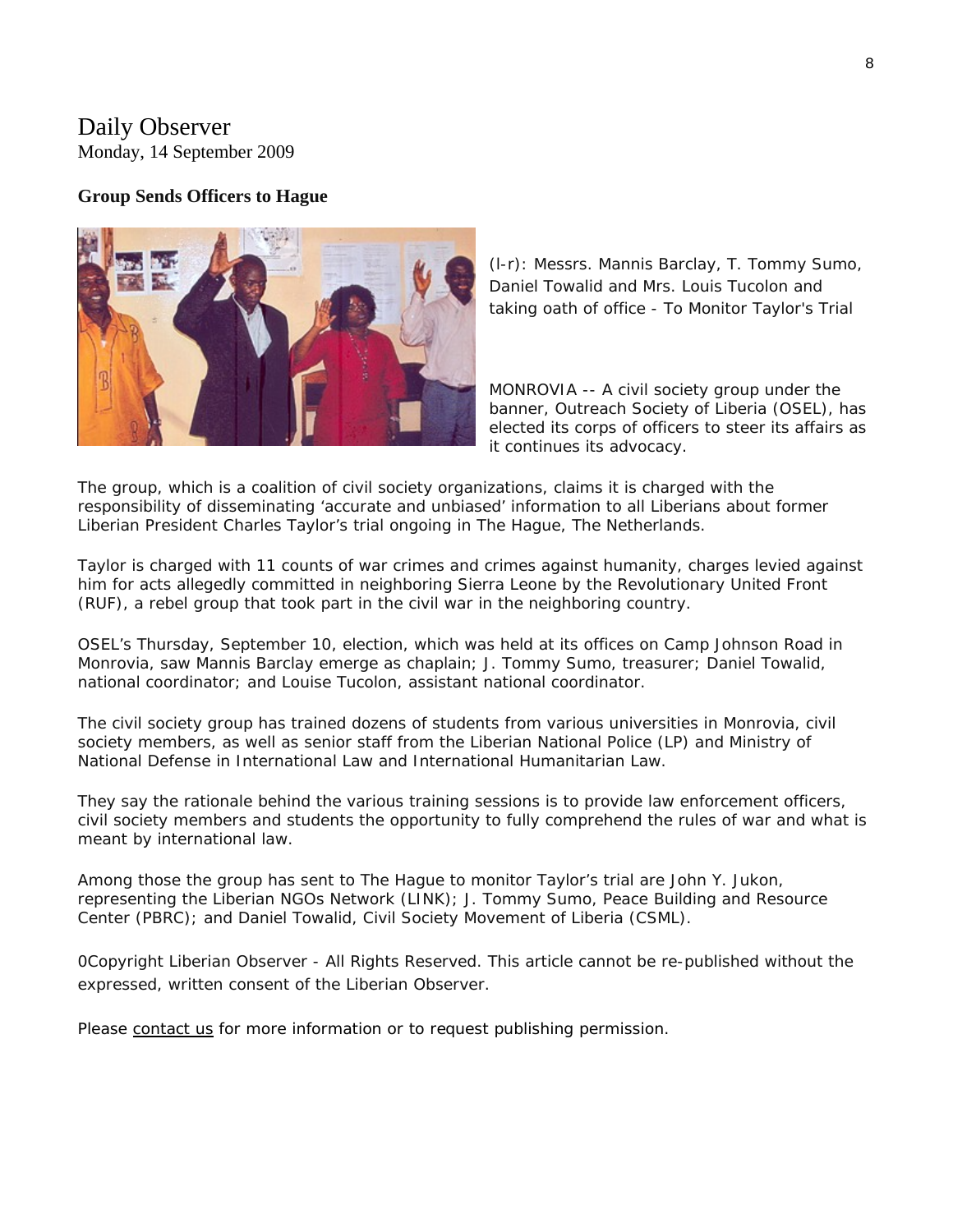# Daily Observer Monday, 14 September 2009

#### **Group Sends Officers to Hague**



*(l-r): Messrs. Mannis Barclay, T. Tommy Sumo, Daniel Towalid and Mrs. Louis Tucolon and taking oath of office - To Monitor Taylor's Trial* 

MONROVIA -- A civil society group under the banner, Outreach Society of Liberia (OSEL), has elected its corps of officers to steer its affairs as it continues its advocacy.

The group, which is a coalition of civil society organizations, claims it is charged with the responsibility of disseminating 'accurate and unbiased' information to all Liberians about former Liberian President Charles Taylor's trial ongoing in The Hague, The Netherlands.

Taylor is charged with 11 counts of war crimes and crimes against humanity, charges levied against him for acts allegedly committed in neighboring Sierra Leone by the Revolutionary United Front (RUF), a rebel group that took part in the civil war in the neighboring country.

OSEL's Thursday, September 10, election, which was held at its offices on Camp Johnson Road in Monrovia, saw Mannis Barclay emerge as chaplain; J. Tommy Sumo, treasurer; Daniel Towalid, national coordinator; and Louise Tucolon, assistant national coordinator.

The civil society group has trained dozens of students from various universities in Monrovia, civil society members, as well as senior staff from the Liberian National Police (LP) and Ministry of National Defense in International Law and International Humanitarian Law.

They say the rationale behind the various training sessions is to provide law enforcement officers, civil society members and students the opportunity to fully comprehend the rules of war and what is meant by international law.

Among those the group has sent to The Hague to monitor Taylor's trial are John Y. Jukon, representing the Liberian NGOs Network (LINK); J. Tommy Sumo, Peace Building and Resource Center (PBRC); and Daniel Towalid, Civil Society Movement of Liberia (CSML).

0Copyright Liberian Observer - All Rights Reserved. This article cannot be re-published without the expressed, written consent of the Liberian Observer.

Please [contact us](http://www.liberianobserver.com/contact) for more information or to request publishing permission.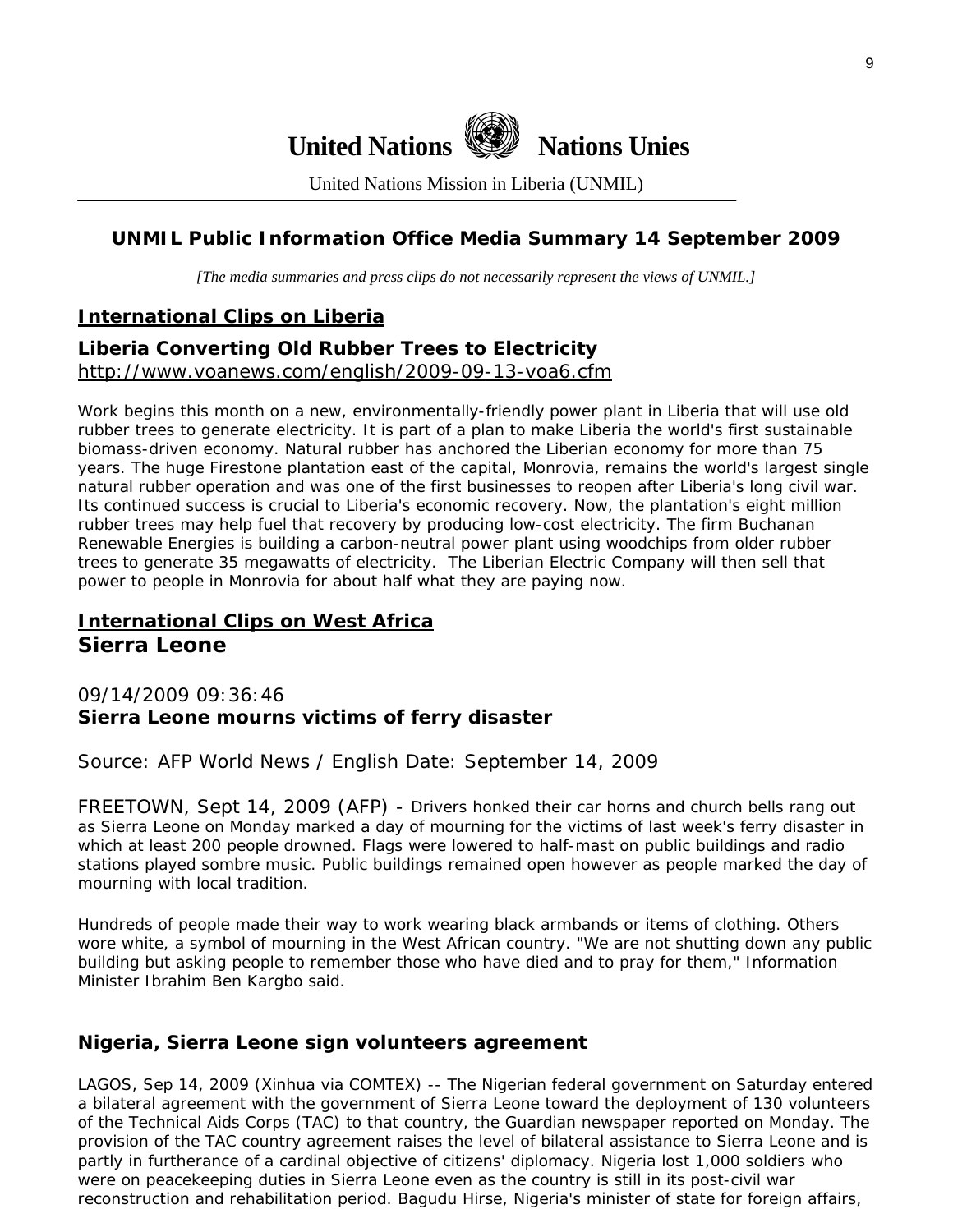

United Nations Mission in Liberia (UNMIL)

# **UNMIL Public Information Office Media Summary 14 September 2009**

*[The media summaries and press clips do not necessarily represent the views of UNMIL.]* 

# **International Clips on Liberia**

### **Liberia Converting Old Rubber Trees to Electricity**  <http://www.voanews.com/english/2009-09-13-voa6.cfm>

Work begins this month on a new, environmentally-friendly power plant in Liberia that will use old rubber trees to generate electricity. It is part of a plan to make Liberia the world's first sustainable biomass-driven economy. Natural rubber has anchored the Liberian economy for more than 75 years. The huge Firestone plantation east of the capital, Monrovia, remains the world's largest single natural rubber operation and was one of the first businesses to reopen after Liberia's long civil war. Its continued success is crucial to Liberia's economic recovery. Now, the plantation's eight million rubber trees may help fuel that recovery by producing low-cost electricity. The firm Buchanan Renewable Energies is building a carbon-neutral power plant using woodchips from older rubber trees to generate 35 megawatts of electricity. The Liberian Electric Company will then sell that power to people in Monrovia for about half what they are paying now.

# **International Clips on West Africa Sierra Leone**

## 09/14/2009 09:36:46 **Sierra Leone mourns victims of ferry disaster**

Source: AFP World News / English Date: September 14, 2009

FREETOWN, Sept 14, 2009 (AFP) - Drivers honked their car horns and church bells rang out as Sierra Leone on Monday marked a day of mourning for the victims of last week's ferry disaster in which at least 200 people drowned. Flags were lowered to half-mast on public buildings and radio stations played sombre music. Public buildings remained open however as people marked the day of mourning with local tradition.

Hundreds of people made their way to work wearing black armbands or items of clothing. Others wore white, a symbol of mourning in the West African country. "We are not shutting down any public building but asking people to remember those who have died and to pray for them," Information Minister Ibrahim Ben Kargbo said.

# **Nigeria, Sierra Leone sign volunteers agreement**

LAGOS, Sep 14, 2009 (Xinhua via COMTEX) -- The Nigerian federal government on Saturday entered a bilateral agreement with the government of Sierra Leone toward the deployment of 130 volunteers of the Technical Aids Corps (TAC) to that country, the Guardian newspaper reported on Monday. The provision of the TAC country agreement raises the level of bilateral assistance to Sierra Leone and is partly in furtherance of a cardinal objective of citizens' diplomacy. Nigeria lost 1,000 soldiers who were on peacekeeping duties in Sierra Leone even as the country is still in its post-civil war reconstruction and rehabilitation period. Bagudu Hirse, Nigeria's minister of state for foreign affairs,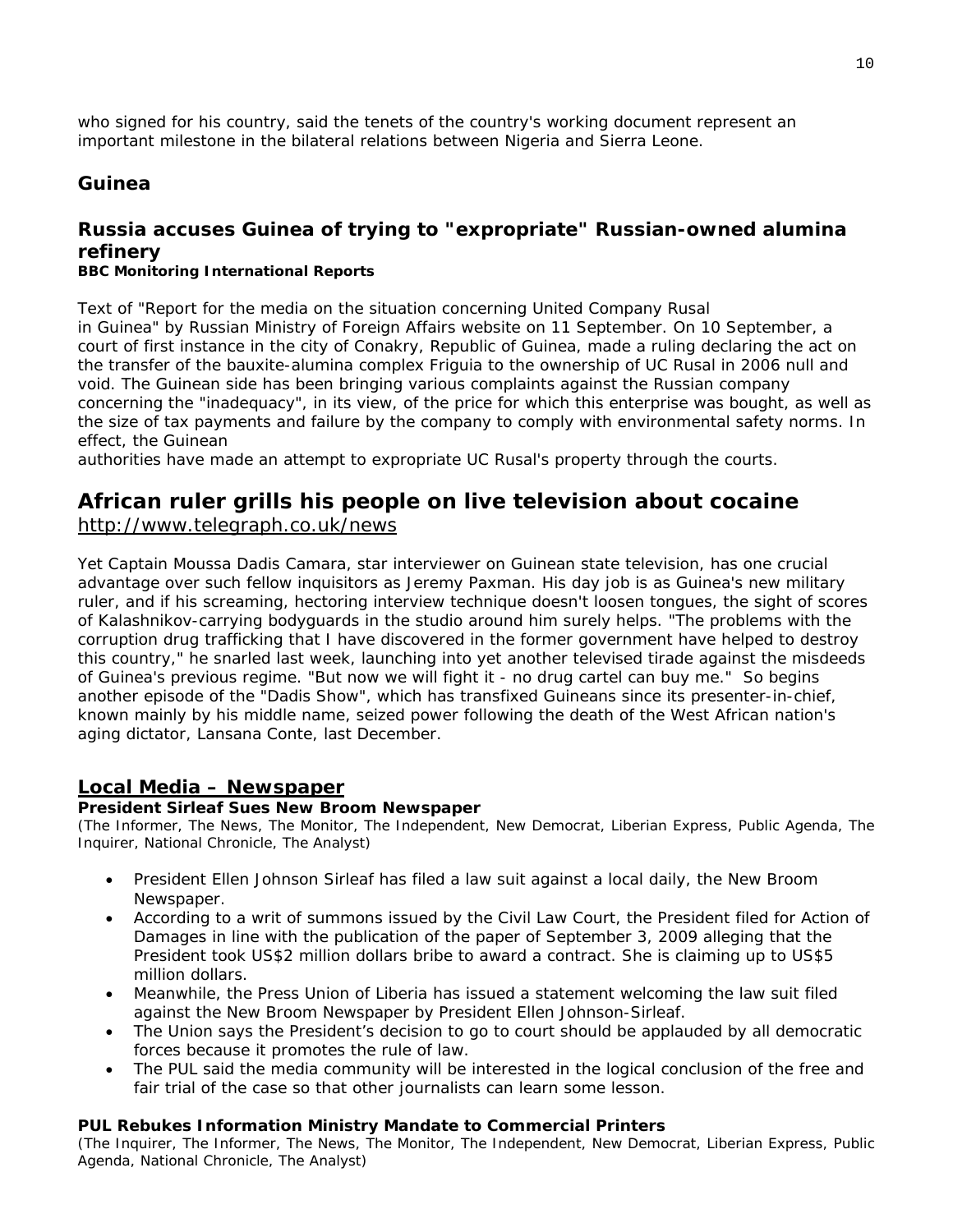who signed for his country, said the tenets of the country's working document represent an important milestone in the bilateral relations between Nigeria and Sierra Leone.

## **Guinea**

# **Russia accuses Guinea of trying to "expropriate" Russian-owned alumina refinery**

#### **BBC Monitoring International Reports**

Text of "Report for the media on the situation concerning United Company Rusal in Guinea" by Russian Ministry of Foreign Affairs website on 11 September. On 10 September, a court of first instance in the city of Conakry, Republic of Guinea, made a ruling declaring the act on the transfer of the bauxite-alumina complex Friguia to the ownership of UC Rusal in 2006 null and void. The Guinean side has been bringing various complaints against the Russian company concerning the "inadequacy", in its view, of the price for which this enterprise was bought, as well as the size of tax payments and failure by the company to comply with environmental safety norms. In effect, the Guinean

authorities have made an attempt to expropriate UC Rusal's property through the courts.

## **African ruler grills his people on live television about cocaine**  http://www.telegraph.co.uk/news

Yet Captain Moussa Dadis Camara, star interviewer on Guinean state television, has one crucial advantage over such fellow inquisitors as Jeremy Paxman. His day job is as Guinea's new military ruler, and if his screaming, hectoring interview technique doesn't loosen tongues, the sight of scores of Kalashnikov-carrying bodyguards in the studio around him surely helps. "The problems with the corruption drug trafficking that I have discovered in the former government have helped to destroy this country," he snarled last week, launching into yet another televised tirade against the misdeeds of Guinea's previous regime. "But now we will fight it - no drug cartel can buy me." So begins another episode of the "Dadis Show", which has transfixed Guineans since its presenter-in-chief, known mainly by his middle name, seized power following the death of the West African nation's aging dictator, Lansana Conte, last December.

## **Local Media – Newspaper**

#### **President Sirleaf Sues New Broom Newspaper**

(The Informer, The News, The Monitor, The Independent, New Democrat, Liberian Express, Public Agenda, The Inquirer, National Chronicle, The Analyst)

- President Ellen Johnson Sirleaf has filed a law suit against a local daily, the New Broom Newspaper.
- According to a writ of summons issued by the Civil Law Court, the President filed for Action of Damages in line with the publication of the paper of September 3, 2009 alleging that the President took US\$2 million dollars bribe to award a contract. She is claiming up to US\$5 million dollars.
- Meanwhile, the Press Union of Liberia has issued a statement welcoming the law suit filed against the New Broom Newspaper by President Ellen Johnson-Sirleaf.
- The Union says the President's decision to go to court should be applauded by all democratic forces because it promotes the rule of law.
- The PUL said the media community will be interested in the logical conclusion of the free and fair trial of the case so that other journalists can learn some lesson.

#### **PUL Rebukes Information Ministry Mandate to Commercial Printers**

(The Inquirer, The Informer, The News, The Monitor, The Independent, New Democrat, Liberian Express, Public Agenda, National Chronicle, The Analyst)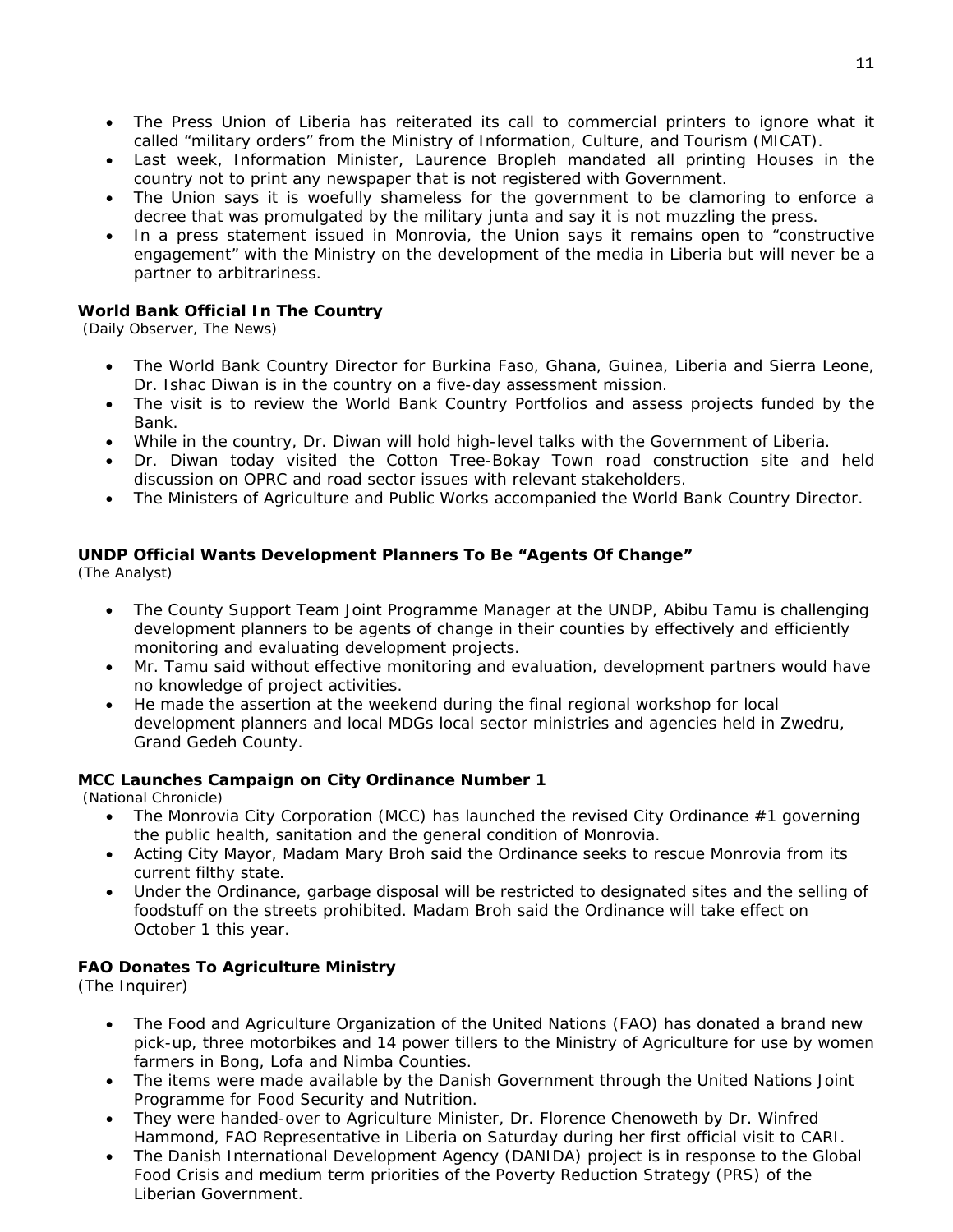- The Press Union of Liberia has reiterated its call to commercial printers to ignore what it called "military orders" from the Ministry of Information, Culture, and Tourism (MICAT).
- Last week, Information Minister, Laurence Bropleh mandated all printing Houses in the country not to print any newspaper that is not registered with Government.
- The Union says it is woefully shameless for the government to be clamoring to enforce a decree that was promulgated by the military junta and say it is not muzzling the press.
- In a press statement issued in Monrovia, the Union says it remains open to "constructive engagement" with the Ministry on the development of the media in Liberia but will never be a partner to arbitrariness.

#### **World Bank Official In The Country**

(Daily Observer, The News)

- The World Bank Country Director for Burkina Faso, Ghana, Guinea, Liberia and Sierra Leone, Dr. Ishac Diwan is in the country on a five-day assessment mission.
- The visit is to review the World Bank Country Portfolios and assess projects funded by the Bank.
- While in the country, Dr. Diwan will hold high-level talks with the Government of Liberia.
- Dr. Diwan today visited the Cotton Tree-Bokay Town road construction site and held discussion on OPRC and road sector issues with relevant stakeholders.
- The Ministers of Agriculture and Public Works accompanied the World Bank Country Director.

#### **UNDP Official Wants Development Planners To Be "Agents Of Change"**

(The Analyst)

- The County Support Team Joint Programme Manager at the UNDP, Abibu Tamu is challenging development planners to be agents of change in their counties by effectively and efficiently monitoring and evaluating development projects.
- Mr. Tamu said without effective monitoring and evaluation, development partners would have no knowledge of project activities.
- He made the assertion at the weekend during the final regional workshop for local development planners and local MDGs local sector ministries and agencies held in Zwedru, Grand Gedeh County.

#### **MCC Launches Campaign on City Ordinance Number 1**

(National Chronicle)

- The Monrovia City Corporation (MCC) has launched the revised City Ordinance #1 governing the public health, sanitation and the general condition of Monrovia.
- Acting City Mayor, Madam Mary Broh said the Ordinance seeks to rescue Monrovia from its current filthy state.
- Under the Ordinance, garbage disposal will be restricted to designated sites and the selling of foodstuff on the streets prohibited. Madam Broh said the Ordinance will take effect on October 1 this year.

#### **FAO Donates To Agriculture Ministry**

(The Inquirer)

- The Food and Agriculture Organization of the United Nations (FAO) has donated a brand new pick-up, three motorbikes and 14 power tillers to the Ministry of Agriculture for use by women farmers in Bong, Lofa and Nimba Counties.
- The items were made available by the Danish Government through the United Nations Joint Programme for Food Security and Nutrition.
- They were handed-over to Agriculture Minister, Dr. Florence Chenoweth by Dr. Winfred Hammond, FAO Representative in Liberia on Saturday during her first official visit to CARI.
- The Danish International Development Agency (DANIDA) project is in response to the Global Food Crisis and medium term priorities of the Poverty Reduction Strategy (PRS) of the Liberian Government.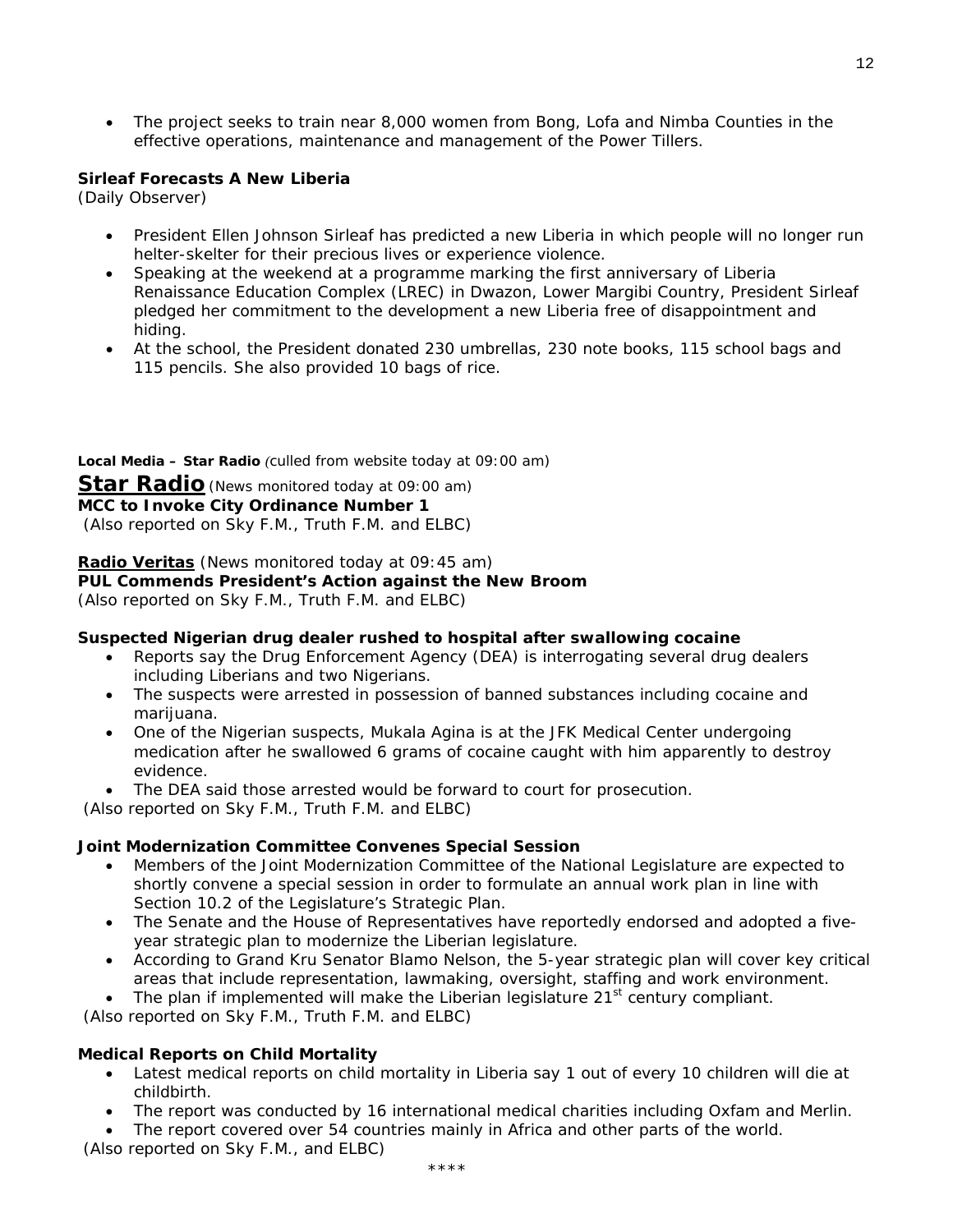• The project seeks to train near 8,000 women from Bong, Lofa and Nimba Counties in the effective operations, maintenance and management of the Power Tillers.

### **Sirleaf Forecasts A New Liberia**

(Daily Observer)

- President Ellen Johnson Sirleaf has predicted a new Liberia in which people will no longer run helter-skelter for their precious lives or experience violence.
- Speaking at the weekend at a programme marking the first anniversary of Liberia Renaissance Education Complex (LREC) in Dwazon, Lower Margibi Country, President Sirleaf pledged her commitment to the development a new Liberia free of disappointment and hiding.
- At the school, the President donated 230 umbrellas, 230 note books, 115 school bags and 115 pencils. She also provided 10 bags of rice.

#### **Local Media – Star Radio** *(culled from website today at 09:00 am)*

**Star Radio***(News monitored today at 09:00 am)*

**MCC to Invoke City Ordinance Number 1** 

 *(Also reported on Sky F.M., Truth F.M. and ELBC)*

## **Radio Veritas** *(News monitored today at 09:45 am)*

## **PUL Commends President's Action against the New Broom**

*(Also reported on Sky F.M., Truth F.M. and ELBC)*

#### **Suspected Nigerian drug dealer rushed to hospital after swallowing cocaine**

- Reports say the Drug Enforcement Agency (DEA) is interrogating several drug dealers including Liberians and two Nigerians.
- The suspects were arrested in possession of banned substances including cocaine and marijuana.
- One of the Nigerian suspects, Mukala Agina is at the JFK Medical Center undergoing medication after he swallowed 6 grams of cocaine caught with him apparently to destroy evidence.
- The DEA said those arrested would be forward to court for prosecution.

 *(Also reported on Sky F.M., Truth F.M. and ELBC)*

#### **Joint Modernization Committee Convenes Special Session**

- Members of the Joint Modernization Committee of the National Legislature are expected to shortly convene a special session in order to formulate an annual work plan in line with Section 10.2 of the Legislature's Strategic Plan.
- The Senate and the House of Representatives have reportedly endorsed and adopted a fiveyear strategic plan to modernize the Liberian legislature.
- According to Grand Kru Senator Blamo Nelson, the 5-year strategic plan will cover key critical areas that include representation, lawmaking, oversight, staffing and work environment.
- The plan if implemented will make the Liberian legislature  $21<sup>st</sup>$  century compliant.

 *(Also reported on Sky F.M., Truth F.M. and ELBC)*

#### **Medical Reports on Child Mortality**

- Latest medical reports on child mortality in Liberia say 1 out of every 10 children will die at childbirth.
- The report was conducted by 16 international medical charities including Oxfam and Merlin.
- The report covered over 54 countries mainly in Africa and other parts of the world.

 *(Also reported on Sky F.M., and ELBC)*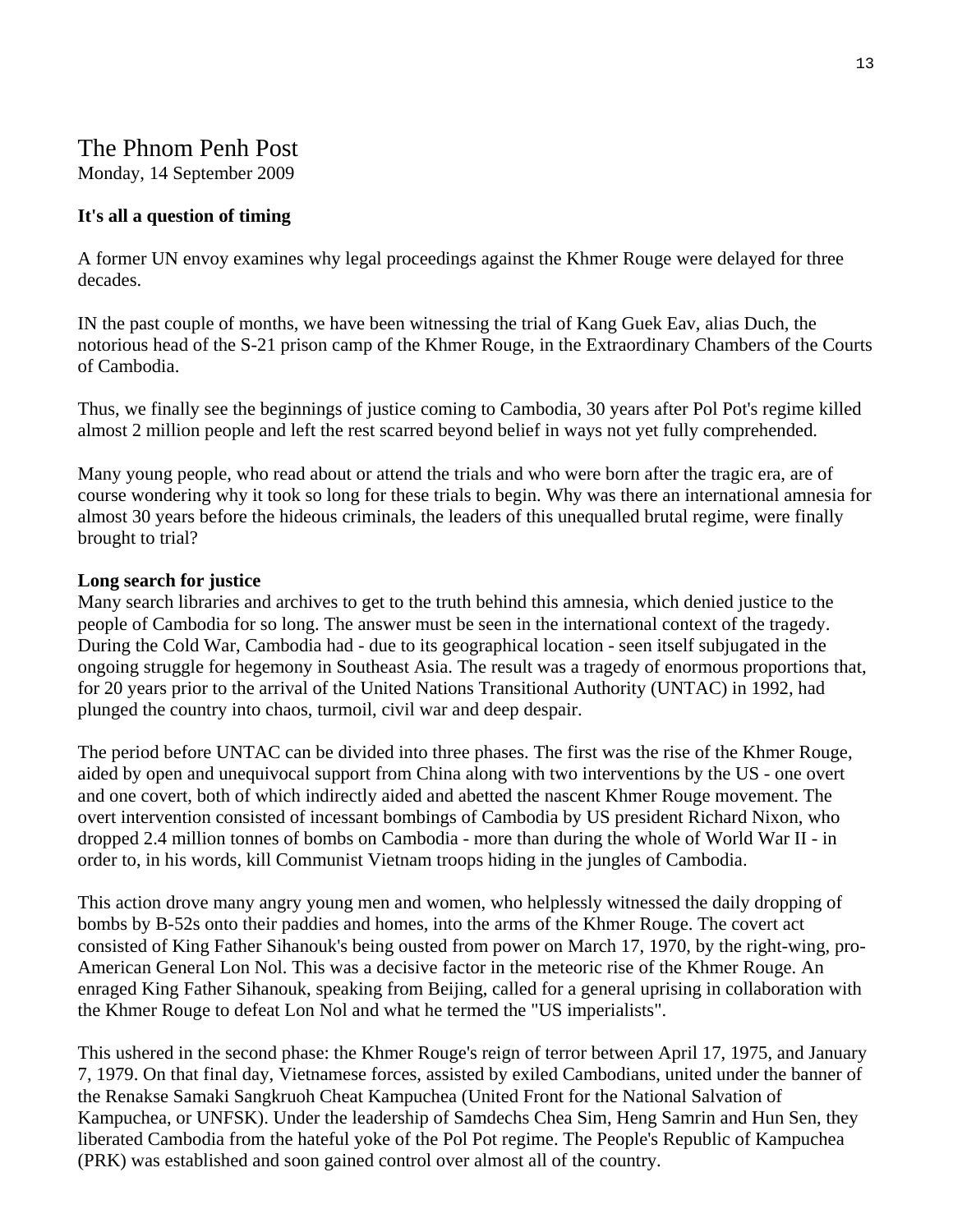## The Phnom Penh Post Monday, 14 September 2009

### **It's all a question of timing**

A former UN envoy examines why legal proceedings against the Khmer Rouge were delayed for three decades.

IN the past couple of months, we have been witnessing the trial of Kang Guek Eav, alias Duch, the notorious head of the S-21 prison camp of the Khmer Rouge, in the Extraordinary Chambers of the Courts of Cambodia.

Thus, we finally see the beginnings of justice coming to Cambodia, 30 years after Pol Pot's regime killed almost 2 million people and left the rest scarred beyond belief in ways not yet fully comprehended.

Many young people, who read about or attend the trials and who were born after the tragic era, are of course wondering why it took so long for these trials to begin. Why was there an international amnesia for almost 30 years before the hideous criminals, the leaders of this unequalled brutal regime, were finally brought to trial?

#### **Long search for justice**

Many search libraries and archives to get to the truth behind this amnesia, which denied justice to the people of Cambodia for so long. The answer must be seen in the international context of the tragedy. During the Cold War, Cambodia had - due to its geographical location - seen itself subjugated in the ongoing struggle for hegemony in Southeast Asia. The result was a tragedy of enormous proportions that, for 20 years prior to the arrival of the United Nations Transitional Authority (UNTAC) in 1992, had plunged the country into chaos, turmoil, civil war and deep despair.

The period before UNTAC can be divided into three phases. The first was the rise of the Khmer Rouge, aided by open and unequivocal support from China along with two interventions by the US - one overt and one covert, both of which indirectly aided and abetted the nascent Khmer Rouge movement. The overt intervention consisted of incessant bombings of Cambodia by US president Richard Nixon, who dropped 2.4 million tonnes of bombs on Cambodia - more than during the whole of World War II - in order to, in his words, kill Communist Vietnam troops hiding in the jungles of Cambodia.

This action drove many angry young men and women, who helplessly witnessed the daily dropping of bombs by B-52s onto their paddies and homes, into the arms of the Khmer Rouge. The covert act consisted of King Father Sihanouk's being ousted from power on March 17, 1970, by the right-wing, pro-American General Lon Nol. This was a decisive factor in the meteoric rise of the Khmer Rouge. An enraged King Father Sihanouk, speaking from Beijing, called for a general uprising in collaboration with the Khmer Rouge to defeat Lon Nol and what he termed the "US imperialists".

This ushered in the second phase: the Khmer Rouge's reign of terror between April 17, 1975, and January 7, 1979. On that final day, Vietnamese forces, assisted by exiled Cambodians, united under the banner of the Renakse Samaki Sangkruoh Cheat Kampuchea (United Front for the National Salvation of Kampuchea, or UNFSK). Under the leadership of Samdechs Chea Sim, Heng Samrin and Hun Sen, they liberated Cambodia from the hateful yoke of the Pol Pot regime. The People's Republic of Kampuchea (PRK) was established and soon gained control over almost all of the country.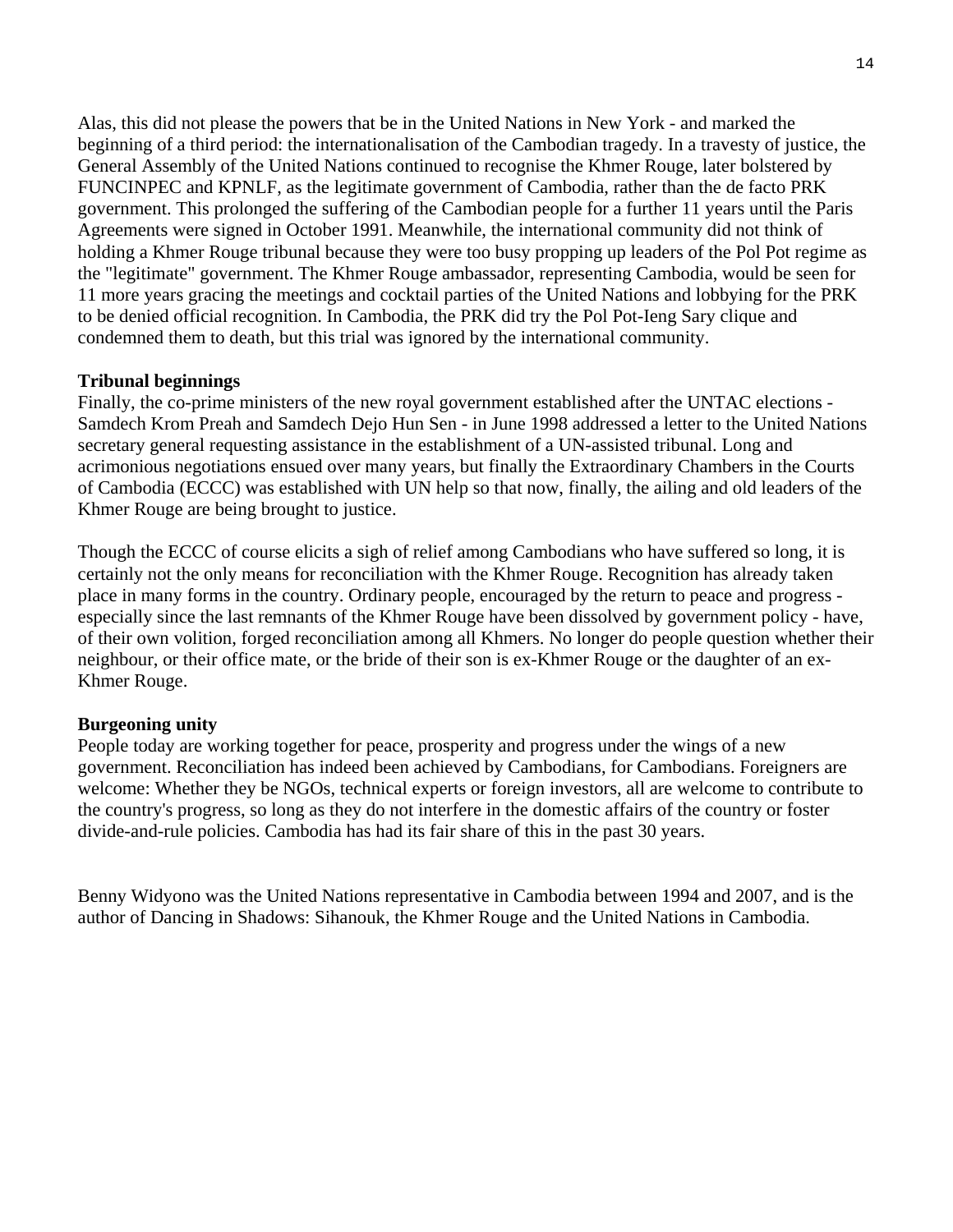Alas, this did not please the powers that be in the United Nations in New York - and marked the beginning of a third period: the internationalisation of the Cambodian tragedy. In a travesty of justice, the General Assembly of the United Nations continued to recognise the Khmer Rouge, later bolstered by FUNCINPEC and KPNLF, as the legitimate government of Cambodia, rather than the de facto PRK government. This prolonged the suffering of the Cambodian people for a further 11 years until the Paris Agreements were signed in October 1991. Meanwhile, the international community did not think of holding a Khmer Rouge tribunal because they were too busy propping up leaders of the Pol Pot regime as the "legitimate" government. The Khmer Rouge ambassador, representing Cambodia, would be seen for 11 more years gracing the meetings and cocktail parties of the United Nations and lobbying for the PRK to be denied official recognition. In Cambodia, the PRK did try the Pol Pot-Ieng Sary clique and condemned them to death, but this trial was ignored by the international community.

#### **Tribunal beginnings**

Finally, the co-prime ministers of the new royal government established after the UNTAC elections - Samdech Krom Preah and Samdech Dejo Hun Sen - in June 1998 addressed a letter to the United Nations secretary general requesting assistance in the establishment of a UN-assisted tribunal. Long and acrimonious negotiations ensued over many years, but finally the Extraordinary Chambers in the Courts of Cambodia (ECCC) was established with UN help so that now, finally, the ailing and old leaders of the Khmer Rouge are being brought to justice.

Though the ECCC of course elicits a sigh of relief among Cambodians who have suffered so long, it is certainly not the only means for reconciliation with the Khmer Rouge. Recognition has already taken place in many forms in the country. Ordinary people, encouraged by the return to peace and progress especially since the last remnants of the Khmer Rouge have been dissolved by government policy - have, of their own volition, forged reconciliation among all Khmers. No longer do people question whether their neighbour, or their office mate, or the bride of their son is ex-Khmer Rouge or the daughter of an ex-Khmer Rouge.

#### **Burgeoning unity**

People today are working together for peace, prosperity and progress under the wings of a new government. Reconciliation has indeed been achieved by Cambodians, for Cambodians. Foreigners are welcome: Whether they be NGOs, technical experts or foreign investors, all are welcome to contribute to the country's progress, so long as they do not interfere in the domestic affairs of the country or foster divide-and-rule policies. Cambodia has had its fair share of this in the past 30 years.

Benny Widyono was the United Nations representative in Cambodia between 1994 and 2007, and is the author of Dancing in Shadows: Sihanouk, the Khmer Rouge and the United Nations in Cambodia.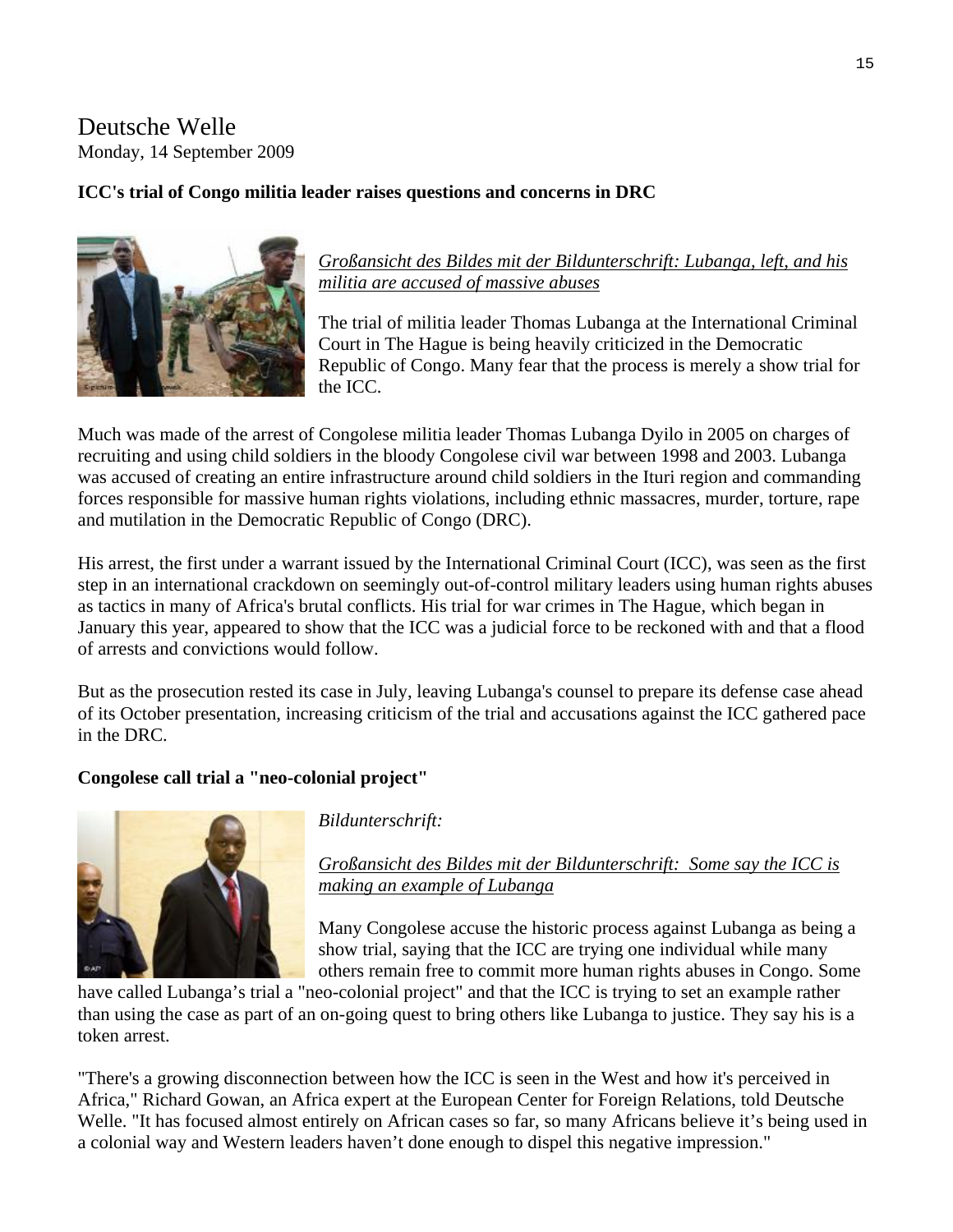# Deutsche Welle Monday, 14 September 2009

# **ICC's trial of Congo militia leader raises questions and concerns in DRC**



*[Großansicht des Bildes mit der Bildunterschrift: Lubanga, left, and his](http://www.dw-world.de/popups/popup_lupe/0,,4650762,00.html)  [militia are accused of massive abuses](http://www.dw-world.de/popups/popup_lupe/0,,4650762,00.html)*

The trial of militia leader Thomas Lubanga at the International Criminal Court in The Hague is being heavily criticized in the Democratic Republic of Congo. Many fear that the process is merely a show trial for the ICC.

Much was made of the arrest of Congolese militia leader Thomas Lubanga Dyilo in 2005 on charges of recruiting and using child soldiers in the bloody Congolese civil war between 1998 and 2003. Lubanga was accused of creating an entire infrastructure around child soldiers in the Ituri region and commanding forces responsible for massive human rights violations, including ethnic massacres, murder, torture, rape and mutilation in the Democratic Republic of Congo (DRC).

His arrest, the first under a warrant issued by the International Criminal Court (ICC), was seen as the first step in an international crackdown on seemingly out-of-control military leaders using human rights abuses as tactics in many of Africa's brutal conflicts. His trial for war crimes in The Hague, which began in January this year, appeared to show that the ICC was a judicial force to be reckoned with and that a flood of arrests and convictions would follow.

But as the prosecution rested its case in July, leaving Lubanga's counsel to prepare its defense case ahead of its October presentation, increasing criticism of the trial and accusations against the ICC gathered pace in the DRC.

## **Congolese call trial a "neo-colonial project"**



*Bildunterschrift:* 

*[Großansicht des Bildes mit der Bildunterschrift: Some say the ICC is](http://www.dw-world.de/popups/popup_lupe/0,,4650762_ind_1,00.html)  [making an example of Lubanga](http://www.dw-world.de/popups/popup_lupe/0,,4650762_ind_1,00.html)*

Many Congolese accuse the historic process against Lubanga as being a show trial, saying that the ICC are trying one individual while many others remain free to commit more human rights abuses in Congo. Some

have called Lubanga's trial a "neo-colonial project" and that the ICC is trying to set an example rather than using the case as part of an on-going quest to bring others like Lubanga to justice. They say his is a token arrest.

"There's a growing disconnection between how the ICC is seen in the West and how it's perceived in Africa," Richard Gowan, an Africa expert at the European Center for Foreign Relations, told Deutsche Welle. "It has focused almost entirely on African cases so far, so many Africans believe it's being used in a colonial way and Western leaders haven't done enough to dispel this negative impression."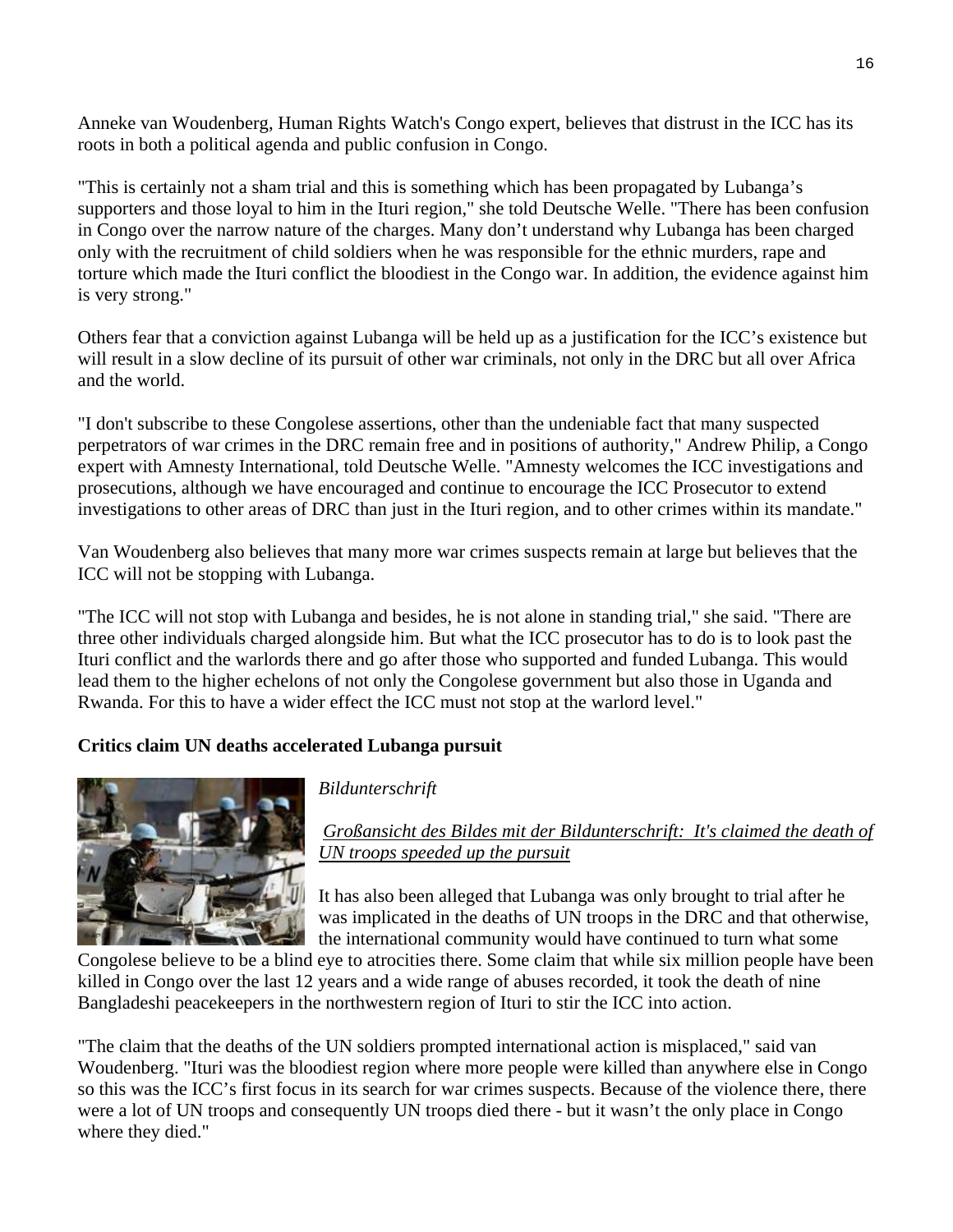Anneke van Woudenberg, Human Rights Watch's Congo expert, believes that distrust in the ICC has its roots in both a political agenda and public confusion in Congo.

"This is certainly not a sham trial and this is something which has been propagated by Lubanga's supporters and those loyal to him in the Ituri region," she told Deutsche Welle. "There has been confusion in Congo over the narrow nature of the charges. Many don't understand why Lubanga has been charged only with the recruitment of child soldiers when he was responsible for the ethnic murders, rape and torture which made the Ituri conflict the bloodiest in the Congo war. In addition, the evidence against him is very strong."

Others fear that a conviction against Lubanga will be held up as a justification for the ICC's existence but will result in a slow decline of its pursuit of other war criminals, not only in the DRC but all over Africa and the world.

"I don't subscribe to these Congolese assertions, other than the undeniable fact that many suspected perpetrators of war crimes in the DRC remain free and in positions of authority," Andrew Philip, a Congo expert with Amnesty International, told Deutsche Welle. "Amnesty welcomes the ICC investigations and prosecutions, although we have encouraged and continue to encourage the ICC Prosecutor to extend investigations to other areas of DRC than just in the Ituri region, and to other crimes within its mandate."

Van Woudenberg also believes that many more war crimes suspects remain at large but believes that the ICC will not be stopping with Lubanga.

"The ICC will not stop with Lubanga and besides, he is not alone in standing trial," she said. "There are three other individuals charged alongside him. But what the ICC prosecutor has to do is to look past the Ituri conflict and the warlords there and go after those who supported and funded Lubanga. This would lead them to the higher echelons of not only the Congolese government but also those in Uganda and Rwanda. For this to have a wider effect the ICC must not stop at the warlord level."

# **Critics claim UN deaths accelerated Lubanga pursuit**



*Bildunterschrift* 

*[Großansicht des Bildes mit der Bildunterschrift: It's claimed the death of](http://www.dw-world.de/popups/popup_lupe/0,,4650762_ind_2,00.html) [UN troops speeded up the pursuit](http://www.dw-world.de/popups/popup_lupe/0,,4650762_ind_2,00.html)*

It has also been alleged that Lubanga was only brought to trial after he was implicated in the deaths of UN troops in the DRC and that otherwise, the international community would have continued to turn what some

[Congolese believe to be a blind](http://www.dw-world.de/popups/popup_lupe/0,,4650762_ind_2,00.html) eye to atrocities there. Some claim that while six million people have been killed in Congo over the last 12 years and a wide range of abuses recorded, it took the death of nine Bangladeshi peacekeepers in the northwestern region of Ituri to stir the ICC into action.

"The claim that the deaths of the UN soldiers prompted international action is misplaced," said van Woudenberg. "Ituri was the bloodiest region where more people were killed than anywhere else in Congo so this was the ICC's first focus in its search for war crimes suspects. Because of the violence there, there were a lot of UN troops and consequently UN troops died there - but it wasn't the only place in Congo where they died."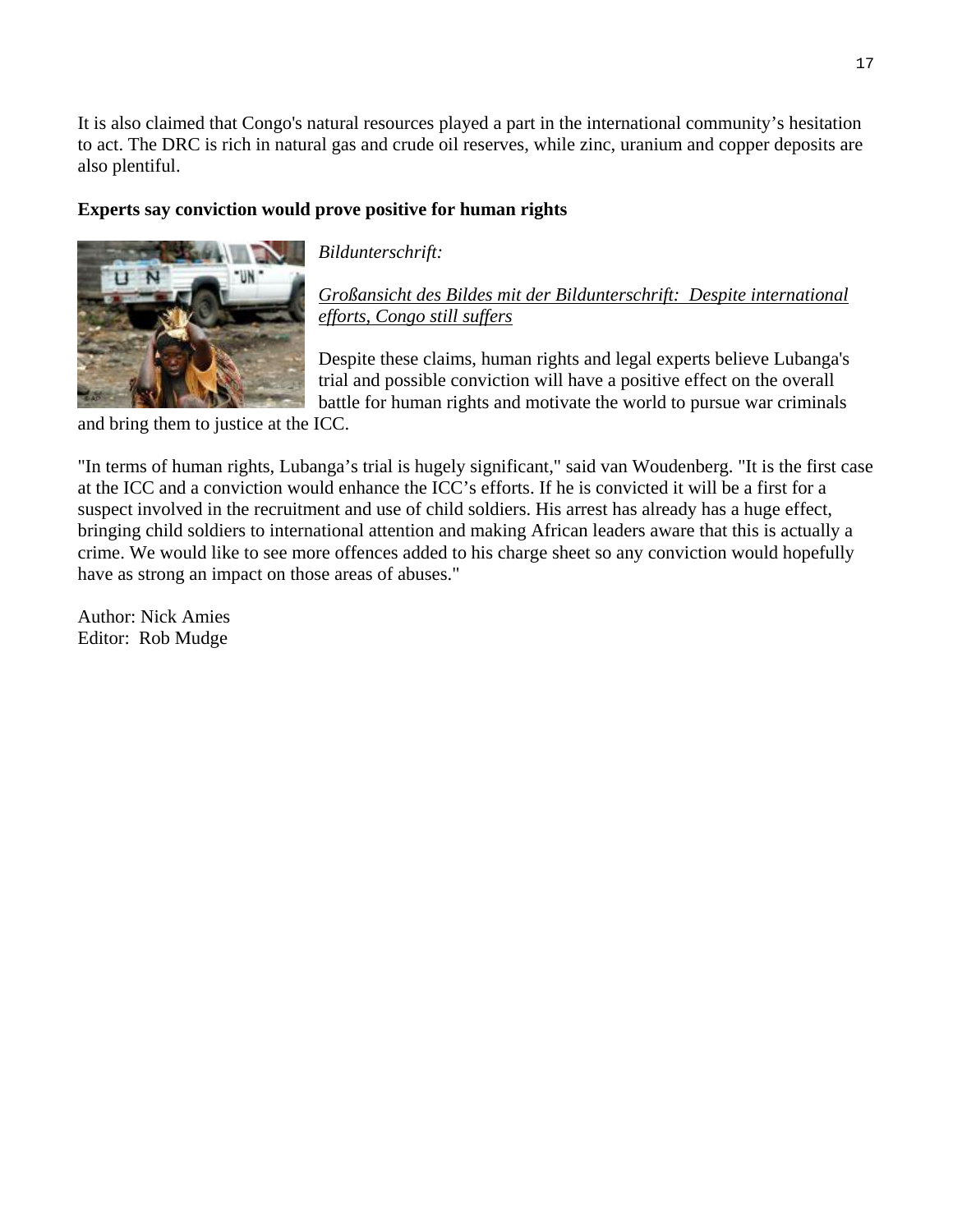It is also claimed that Congo's natural resources played a part in the international community's hesitation to act. The DRC is rich in natural gas and crude oil reserves, while zinc, uranium and copper deposits are also plentiful.

# **Experts say conviction would prove positive for human rights**



*Bildunterschrift:* 

*[Großansicht des Bildes mit der Bildunterschrift: Despite international](http://www.dw-world.de/popups/popup_lupe/0,,4650762_ind_3,00.html)  [efforts, Congo still suffers](http://www.dw-world.de/popups/popup_lupe/0,,4650762_ind_3,00.html)*

Despite these claims, human rights and legal experts believe Lubanga's trial and possible conviction will have a positive effect on the overall battle for human rights and motivate the world to pursue war criminals

and bring them to justice at the ICC.

"In terms of human rights, Lubanga's trial is hugely significant," said van Woudenberg. "It is the first case at the ICC and a conviction would enhance the ICC's efforts. If he is convicted it will be a first for a suspect involved in the recruitment and use of child soldiers. His arrest has already has a huge effect, bringing child soldiers to international attention and making African leaders aware that this is actually a crime. We would like to see more offences added to his charge sheet so any conviction would hopefully have as strong an impact on those areas of abuses."

Author: Nick Amies Editor: Rob Mudge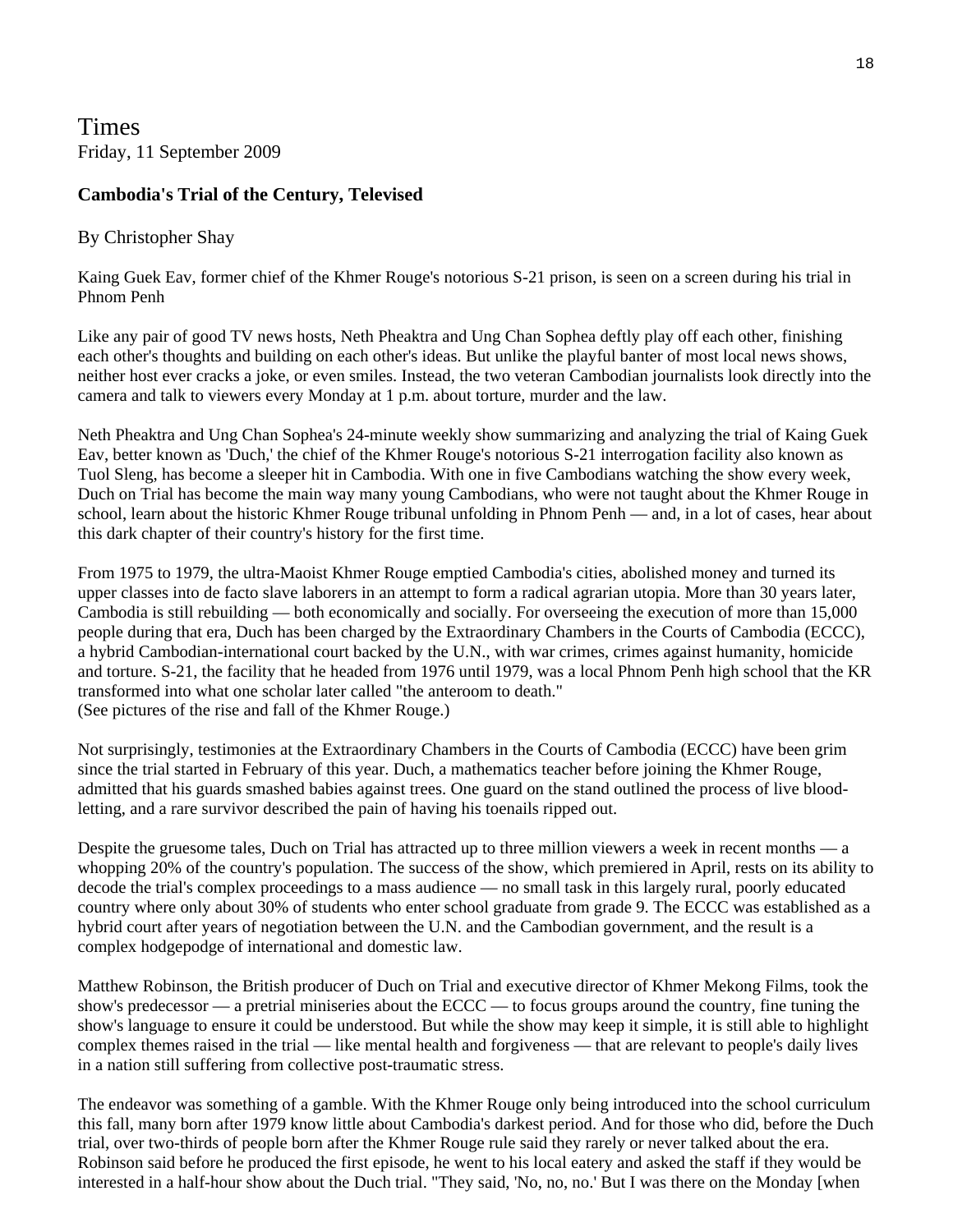# Times Friday, 11 September 2009

## **Cambodia's Trial of the Century, Televised**

#### By Christopher Shay

Kaing Guek Eav, former chief of the Khmer Rouge's notorious S-21 prison, is seen on a screen during his trial in Phnom Penh

Like any pair of good TV news hosts, Neth Pheaktra and Ung Chan Sophea deftly play off each other, finishing each other's thoughts and building on each other's ideas. But unlike the playful banter of most local news shows, neither host ever cracks a joke, or even smiles. Instead, the two veteran Cambodian journalists look directly into the camera and talk to viewers every Monday at 1 p.m. about torture, murder and the law.

Neth Pheaktra and Ung Chan Sophea's 24-minute weekly show summarizing and analyzing the trial of Kaing Guek Eav, better known as 'Duch,' the chief of the Khmer Rouge's notorious S-21 interrogation facility also known as Tuol Sleng, has become a sleeper hit in Cambodia. With one in five Cambodians watching the show every week, Duch on Trial has become the main way many young Cambodians, who were not taught about the Khmer Rouge in school, learn about the historic Khmer Rouge tribunal unfolding in Phnom Penh — and, in a lot of cases, hear about this dark chapter of their country's history for the first time.

From 1975 to 1979, the ultra-Maoist Khmer Rouge emptied Cambodia's cities, abolished money and turned its upper classes into de facto slave laborers in an attempt to form a radical agrarian utopia. More than 30 years later, Cambodia is still rebuilding — both economically and socially. For overseeing the execution of more than 15,000 people during that era, Duch has been charged by the Extraordinary Chambers in the Courts of Cambodia (ECCC), a hybrid Cambodian-international court backed by the U.N., with war crimes, crimes against humanity, homicide and torture. S-21, the facility that he headed from 1976 until 1979, was a local Phnom Penh high school that the KR transformed into what one scholar later called "the anteroom to death." (See pictures of the rise and fall of the Khmer Rouge.)

Not surprisingly, testimonies at the Extraordinary Chambers in the Courts of Cambodia (ECCC) have been grim since the trial started in February of this year. Duch, a mathematics teacher before joining the Khmer Rouge, admitted that his guards smashed babies against trees. One guard on the stand outlined the process of live bloodletting, and a rare survivor described the pain of having his toenails ripped out.

Despite the gruesome tales, Duch on Trial has attracted up to three million viewers a week in recent months — a whopping 20% of the country's population. The success of the show, which premiered in April, rests on its ability to decode the trial's complex proceedings to a mass audience — no small task in this largely rural, poorly educated country where only about 30% of students who enter school graduate from grade 9. The ECCC was established as a hybrid court after years of negotiation between the U.N. and the Cambodian government, and the result is a complex hodgepodge of international and domestic law.

Matthew Robinson, the British producer of Duch on Trial and executive director of Khmer Mekong Films, took the show's predecessor — a pretrial miniseries about the ECCC — to focus groups around the country, fine tuning the show's language to ensure it could be understood. But while the show may keep it simple, it is still able to highlight complex themes raised in the trial — like mental health and forgiveness — that are relevant to people's daily lives in a nation still suffering from collective post-traumatic stress.

The endeavor was something of a gamble. With the Khmer Rouge only being introduced into the school curriculum this fall, many born after 1979 know little about Cambodia's darkest period. And for those who did, before the Duch trial, over two-thirds of people born after the Khmer Rouge rule said they rarely or never talked about the era. Robinson said before he produced the first episode, he went to his local eatery and asked the staff if they would be interested in a half-hour show about the Duch trial. "They said, 'No, no, no.' But I was there on the Monday [when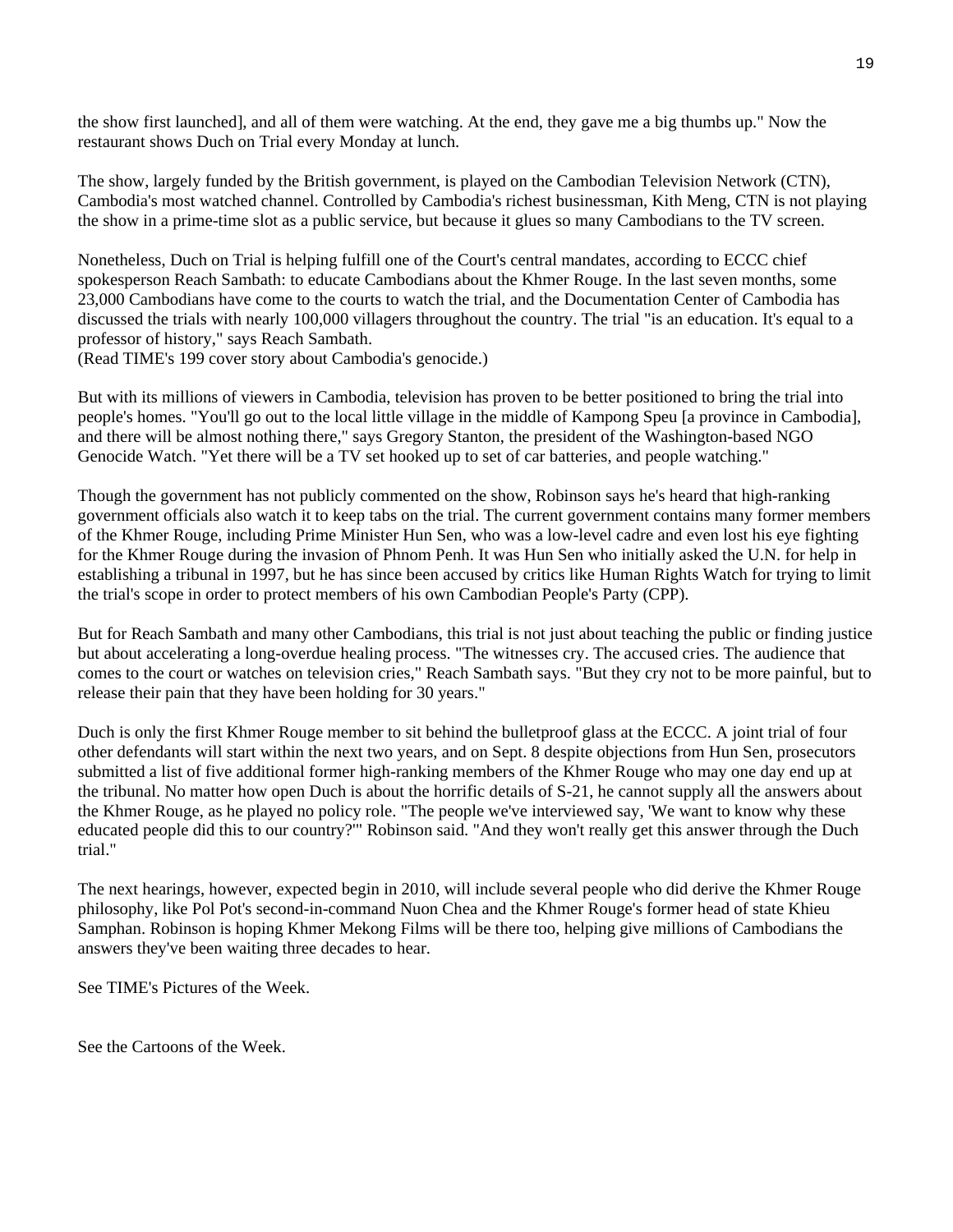the show first launched], and all of them were watching. At the end, they gave me a big thumbs up." Now the restaurant shows Duch on Trial every Monday at lunch.

The show, largely funded by the British government, is played on the Cambodian Television Network (CTN), Cambodia's most watched channel. Controlled by Cambodia's richest businessman, Kith Meng, CTN is not playing the show in a prime-time slot as a public service, but because it glues so many Cambodians to the TV screen.

Nonetheless, Duch on Trial is helping fulfill one of the Court's central mandates, according to ECCC chief spokesperson Reach Sambath: to educate Cambodians about the Khmer Rouge. In the last seven months, some 23,000 Cambodians have come to the courts to watch the trial, and the Documentation Center of Cambodia has discussed the trials with nearly 100,000 villagers throughout the country. The trial "is an education. It's equal to a professor of history," says Reach Sambath.

(Read TIME's 199 cover story about Cambodia's genocide.)

But with its millions of viewers in Cambodia, television has proven to be better positioned to bring the trial into people's homes. "You'll go out to the local little village in the middle of Kampong Speu [a province in Cambodia], and there will be almost nothing there," says Gregory Stanton, the president of the Washington-based NGO Genocide Watch. "Yet there will be a TV set hooked up to set of car batteries, and people watching."

Though the government has not publicly commented on the show, Robinson says he's heard that high-ranking government officials also watch it to keep tabs on the trial. The current government contains many former members of the Khmer Rouge, including Prime Minister Hun Sen, who was a low-level cadre and even lost his eye fighting for the Khmer Rouge during the invasion of Phnom Penh. It was Hun Sen who initially asked the U.N. for help in establishing a tribunal in 1997, but he has since been accused by critics like Human Rights Watch for trying to limit the trial's scope in order to protect members of his own Cambodian People's Party (CPP).

But for Reach Sambath and many other Cambodians, this trial is not just about teaching the public or finding justice but about accelerating a long-overdue healing process. "The witnesses cry. The accused cries. The audience that comes to the court or watches on television cries," Reach Sambath says. "But they cry not to be more painful, but to release their pain that they have been holding for 30 years."

Duch is only the first Khmer Rouge member to sit behind the bulletproof glass at the ECCC. A joint trial of four other defendants will start within the next two years, and on Sept. 8 despite objections from Hun Sen, prosecutors submitted a list of five additional former high-ranking members of the Khmer Rouge who may one day end up at the tribunal. No matter how open Duch is about the horrific details of S-21, he cannot supply all the answers about the Khmer Rouge, as he played no policy role. "The people we've interviewed say, 'We want to know why these educated people did this to our country?'" Robinson said. "And they won't really get this answer through the Duch trial."

The next hearings, however, expected begin in 2010, will include several people who did derive the Khmer Rouge philosophy, like Pol Pot's second-in-command Nuon Chea and the Khmer Rouge's former head of state Khieu Samphan. Robinson is hoping Khmer Mekong Films will be there too, helping give millions of Cambodians the answers they've been waiting three decades to hear.

See TIME's Pictures of the Week.

See the Cartoons of the Week.